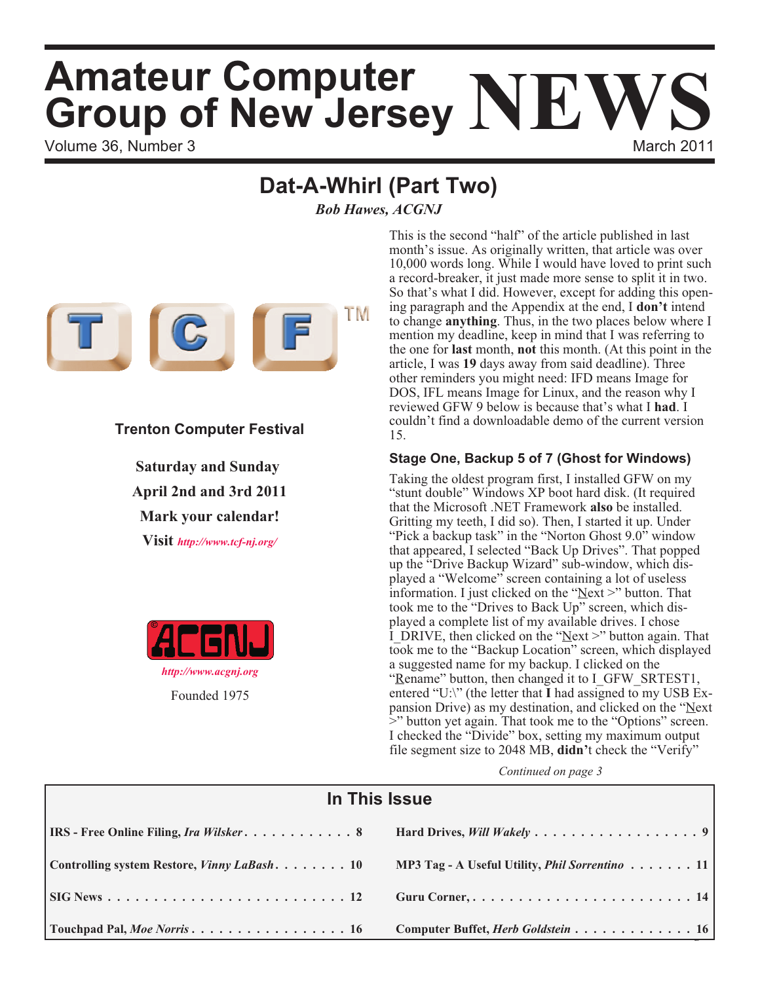# Volume 36, Number 3 March 2011 **Amateur Computer Group of New Jersey NEWS**

## **Dat-A-Whirl (Part Two)**

*Bob Hawes, ACGNJ*



### **Trenton Computer Festival**

**Saturday and Sunday April 2nd and 3rd 2011 Mark your calendar! Visit** *<http://www.tcf-nj.org/>*



This is the second "half" of the article published in last month's issue. As originally written, that article was over 10,000 words long. While I would have loved to print such a record-breaker, it just made more sense to split it in two. So that's what I did. However, except for adding this opening paragraph and the Appendix at the end, I **don't** intend to change **anything**. Thus, in the two places below where I mention my deadline, keep in mind that I was referring to the one for **last** month, **not** this month. (At this point in the article, I was **19** days away from said deadline). Three other reminders you might need: IFD means Image for DOS, IFL means Image for Linux, and the reason why I reviewed GFW 9 below is because that's what I **had**. I couldn't find a downloadable demo of the current version 15.

#### **Stage One, Backup 5 of 7 (Ghost for Windows)**

Taking the oldest program first, I installed GFW on my "stunt double" Windows XP boot hard disk. (It required that the Microsoft .NET Framework **also** be installed. Gritting my teeth, I did so). Then, I started it up. Under "Pick a backup task" in the "Norton Ghost 9.0" window that appeared, I selected "Back Up Drives". That popped up the "Drive Backup Wizard" sub-window, which displayed a "Welcome" screen containing a lot of useless information. I just clicked on the "Next >" button. That took me to the "Drives to Back Up" screen, which displayed a complete list of my available drives. I chose I\_DRIVE, then clicked on the "Next >" button again. That took me to the "Backup Location" screen, which displayed a suggested name for my backup. I clicked on the "Rename" button, then changed it to I GFW SRTEST1, entered "U:\" (the letter that **I** had assigned to my USB Expansion Drive) as my destination, and clicked on the "Next >" button yet again. That took me to the "Options" screen. I checked the "Divide" box, setting my maximum output file segment size to 2048 MB, **didn'**t check the "Verify"

| In This Issue                                         |                                                       |  |  |
|-------------------------------------------------------|-------------------------------------------------------|--|--|
| <b>IRS</b> - Free Online Filing, <i>Ira Wilsker</i> 8 |                                                       |  |  |
| Controlling system Restore, Vinny LaBash 10           | MP3 Tag - A Useful Utility, <i>Phil Sorrentino</i> 11 |  |  |
|                                                       | Guru Corner,  14                                      |  |  |
| Touchpad Pal, Moe Norris 16                           | Computer Buffet, <i>Herb Goldstein</i> 16             |  |  |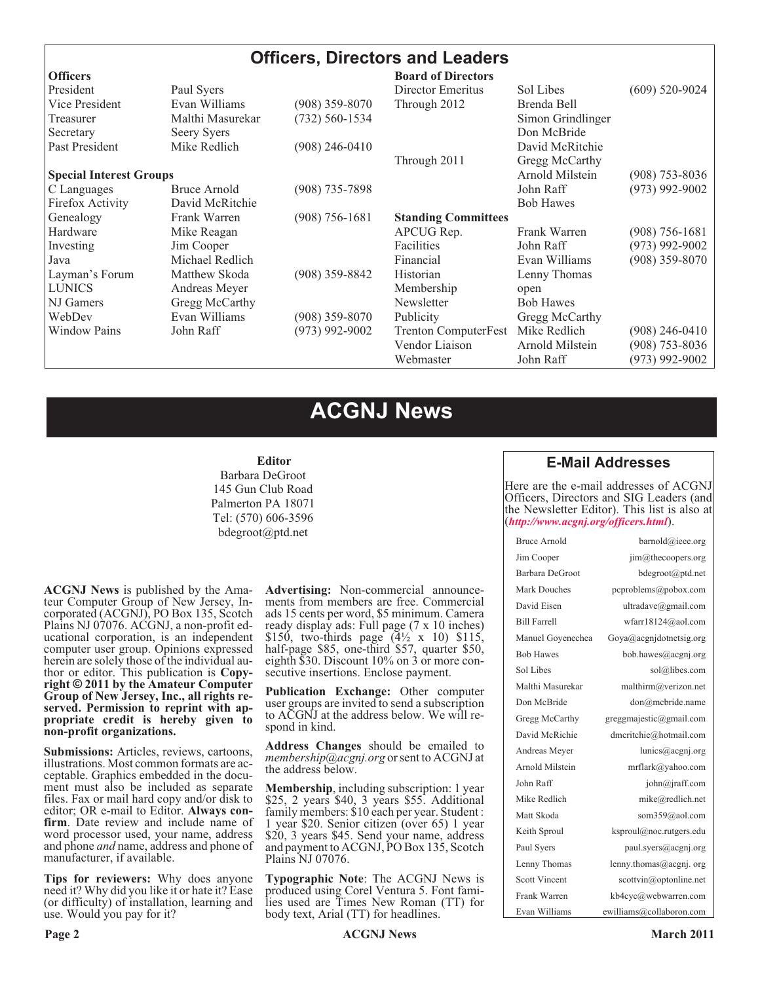#### **Officers, Directors and Leaders**

| <b>Officers</b>                |                  |                    | <b>Board of Directors</b>  |                   |                    |
|--------------------------------|------------------|--------------------|----------------------------|-------------------|--------------------|
| President                      | Paul Syers       |                    | Director Emeritus          | Sol Libes         | $(609)$ 520-9024   |
| Vice President                 | Evan Williams    | $(908)$ 359-8070   | Through 2012               | Brenda Bell       |                    |
| Treasurer                      | Malthi Masurekar | $(732) 560 - 1534$ |                            | Simon Grindlinger |                    |
| Secretary                      | Seery Syers      |                    |                            | Don McBride       |                    |
| Past President                 | Mike Redlich     | $(908)$ 246-0410   |                            | David McRitchie   |                    |
|                                |                  |                    | Through 2011               | Gregg McCarthy    |                    |
| <b>Special Interest Groups</b> |                  |                    |                            | Arnold Milstein   | $(908)$ 753-8036   |
| C Languages                    | Bruce Arnold     | $(908)$ 735-7898   |                            | John Raff         | $(973)$ 992-9002   |
| Firefox Activity               | David McRitchie  |                    |                            | <b>Bob Hawes</b>  |                    |
| Genealogy                      | Frank Warren     | $(908) 756 - 1681$ | <b>Standing Committees</b> |                   |                    |
| Hardware                       | Mike Reagan      |                    | APCUG Rep.                 | Frank Warren      | $(908)$ 756-1681   |
| Investing                      | Jim Cooper       |                    | Facilities                 | John Raff         | $(973)$ 992-9002   |
| Java                           | Michael Redlich  |                    | Financial                  | Evan Williams     | $(908)$ 359-8070   |
| Layman's Forum                 | Matthew Skoda    | (908) 359-8842     | Historian                  | Lenny Thomas      |                    |
| <b>LUNICS</b>                  | Andreas Meyer    |                    | Membership                 | open              |                    |
| NJ Gamers                      | Gregg McCarthy   |                    | Newsletter                 | <b>Bob Hawes</b>  |                    |
| WebDev                         | Evan Williams    | $(908)$ 359-8070   | Publicity                  | Gregg McCarthy    |                    |
| <b>Window Pains</b>            | John Raff        | $(973)$ 992-9002   | Trenton ComputerFest       | Mike Redlich      | $(908)$ 246-0410   |
|                                |                  |                    | Vendor Liaison             | Arnold Milstein   | $(908) 753 - 8036$ |
|                                |                  |                    | Webmaster                  | John Raff         | (973) 992-9002     |

### **ACGNJ News**

#### **Editor**

Barbara DeGroot 145 Gun Club Road Palmerton PA 18071 Tel: (570) 606-3596 bdegroot@ptd.net

**ACGNJ News** is published by the Amateur Computer Group of New Jersey, Incorporated (ACGNJ), PO Box 135, Scotch Plains NJ 07076. ACGNJ, a non-profit educational corporation, is an independent computer user group. Opinions expressed herein are solely those of the individual author or editor. This publication is **Copyright © 2011 by the Amateur Computer Group of New Jersey, Inc., all rights reserved. Permission to reprint with appropriate credit is hereby given to non-profit organizations.**

**Submissions:** Articles, reviews, cartoons, illustrations. Most common formats are acceptable. Graphics embedded in the document must also be included as separate files. Fax or mail hard copy and/or disk to editor; OR e-mail to Editor. **Always confirm**. Date review and include name of word processor used, your name, address and phone *and* name, address and phone of manufacturer, if available.

**Tips for reviewers:** Why does anyone need it? Why did you like it or hate it? Ease (or difficulty) of installation, learning and use. Would you pay for it?

**Advertising:** Non-commercial announcements from members are free. Commercial ads 15 cents per word, \$5 minimum. Camera ready display ads: Full page (7 x 10 inches) \$150, two-thirds page  $(4\frac{1}{2} \times 10)$  \$115, half-page \$85, one-third \$57, quarter \$50, eighth \$30. Discount 10% on 3 or more consecutive insertions. Enclose payment.

**Publication Exchange:** Other computer user groups are invited to send a subscription to ACGNJ at the address below. We will respond in kind.

**Address Changes** should be emailed to *membership@acgnj.org* or sent to ACGNJ at the address below.

**Membership**, including subscription: 1 year \$25, 2 years \$40, 3 years \$55. Additional family members: \$10 each per year. Student : 1 year \$20. Senior citizen (over 65) 1 year \$20, 3 years \$45. Send your name, address and payment to ACGNJ, PO Box 135, Scotch Plains NJ 07076.

**Typographic Note**: The ACGNJ News is produced using Corel Ventura 5. Font families used are Times New Roman (TT) for body text, Arial (TT) for headlines.

#### **E-Mail Addresses**

Here are the e-mail addresses of ACGNJ Officers, Directors and SIG Leaders (and the Newsletter Editor). This list is also at (*<http://www.acgnj.org/officers.html>*).

| Bruce Arnold         | barnold@ieee.org         |
|----------------------|--------------------------|
| Jim Cooper           | jim@thecoopers.org       |
| Barbara DeGroot      | bdegroot@ptd.net         |
| Mark Douches         | pcproblems@pobox.com     |
| David Eisen          | ultradave@gmail.com      |
| <b>Bill Farrell</b>  | wfarr18124@aol.com       |
| Manuel Goyenechea    | Goya@acgnidotnetsig.org  |
| <b>Bob Hawes</b>     | bob.hawes@acgnj.org      |
| Sol Libes            | sol@libes.com            |
| Malthi Masurekar     | malthirm@verizon.net     |
| Don McBride          | don@mcbride.name         |
| Gregg McCarthy       | greggmajestic@gmail.com  |
| David McRichie       | dmcritchie@hotmail.com   |
| Andreas Meyer        | lunics@acgnj.org         |
| Arnold Milstein      | mrflark@yahoo.com        |
| John Raff            | john@jraff.com           |
| Mike Redlich         | mike@redlich.net         |
| Matt Skoda           | som359@aol.com           |
| Keith Sproul         | ksproul@noc.rutgers.edu  |
| Paul Syers           | paul.syers@acgnj.org     |
| Lenny Thomas         | lenny.thomas@acgnj.org   |
| <b>Scott Vincent</b> | scottvin@optonline.net   |
| Frank Warren         | kb4cyc@webwarren.com     |
| Evan Williams        | ewilliams@collaboron.com |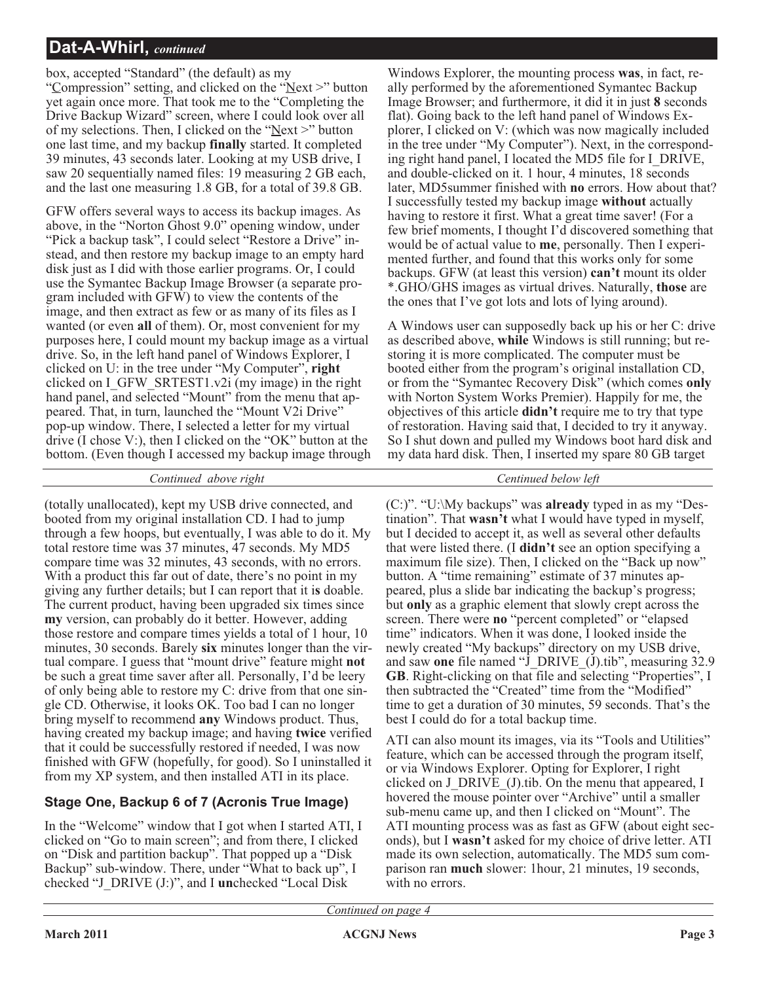box, accepted "Standard" (the default) as my

"Compression" setting, and clicked on the "Next >" button yet again once more. That took me to the "Completing the Drive Backup Wizard" screen, where I could look over all of my selections. Then, I clicked on the "Next >" button one last time, and my backup **finally** started. It completed 39 minutes, 43 seconds later. Looking at my USB drive, I saw 20 sequentially named files: 19 measuring 2 GB each, and the last one measuring 1.8 GB, for a total of 39.8 GB.

GFW offers several ways to access its backup images. As above, in the "Norton Ghost 9.0" opening window, under "Pick a backup task", I could select "Restore a Drive" instead, and then restore my backup image to an empty hard disk just as I did with those earlier programs. Or, I could use the Symantec Backup Image Browser (a separate program included with GFW) to view the contents of the image, and then extract as few or as many of its files as I wanted (or even **all** of them). Or, most convenient for my purposes here, I could mount my backup image as a virtual drive. So, in the left hand panel of Windows Explorer, I clicked on U: in the tree under "My Computer", **right** clicked on I\_GFW\_SRTEST1.v2i (my image) in the right hand panel, and selected "Mount" from the menu that appeared. That, in turn, launched the "Mount V2i Drive" pop-up window. There, I selected a letter for my virtual drive (I chose V:), then I clicked on the "OK" button at the bottom. (Even though I accessed my backup image through

*Continued above right Centinued below left*

(totally unallocated), kept my USB drive connected, and booted from my original installation CD. I had to jump through a few hoops, but eventually, I was able to do it. My total restore time was 37 minutes, 47 seconds. My MD5 compare time was 32 minutes, 43 seconds, with no errors. With a product this far out of date, there's no point in my giving any further details; but I can report that it i**s** doable. The current product, having been upgraded six times since **my** version, can probably do it better. However, adding those restore and compare times yields a total of 1 hour, 10 minutes, 30 seconds. Barely **six** minutes longer than the virtual compare. I guess that "mount drive" feature might **not** be such a great time saver after all. Personally, I'd be leery of only being able to restore my C: drive from that one single CD. Otherwise, it looks OK. Too bad I can no longer bring myself to recommend **any** Windows product. Thus, having created my backup image; and having **twice** verified that it could be successfully restored if needed, I was now finished with GFW (hopefully, for good). So I uninstalled it from my XP system, and then installed ATI in its place.

#### **Stage One, Backup 6 of 7 (Acronis True Image)**

In the "Welcome" window that I got when I started ATI, I clicked on "Go to main screen"; and from there, I clicked on "Disk and partition backup". That popped up a "Disk Backup" sub-window. There, under "What to back up", I checked "J\_DRIVE (J:)", and I **un**checked "Local Disk

Windows Explorer, the mounting process **was**, in fact, really performed by the aforementioned Symantec Backup Image Browser; and furthermore, it did it in just **8** seconds flat). Going back to the left hand panel of Windows Explorer, I clicked on V: (which was now magically included in the tree under "My Computer"). Next, in the corresponding right hand panel, I located the MD5 file for I\_DRIVE, and double-clicked on it. 1 hour, 4 minutes, 18 seconds later, MD5summer finished with **no** errors. How about that? I successfully tested my backup image **without** actually having to restore it first. What a great time saver! (For a few brief moments, I thought I'd discovered something that would be of actual value to **me**, personally. Then I experimented further, and found that this works only for some backups. GFW (at least this version) **can't** mount its older \*.GHO/GHS images as virtual drives. Naturally, **those** are the ones that I've got lots and lots of lying around).

A Windows user can supposedly back up his or her C: drive as described above, **while** Windows is still running; but restoring it is more complicated. The computer must be booted either from the program's original installation CD, or from the "Symantec Recovery Disk" (which comes **only** with Norton System Works Premier). Happily for me, the objectives of this article **didn't** require me to try that type of restoration. Having said that, I decided to try it anyway. So I shut down and pulled my Windows boot hard disk and my data hard disk. Then, I inserted my spare 80 GB target

(C:)". "U:\My backups" was **already** typed in as my "Destination". That **wasn't** what I would have typed in myself, but I decided to accept it, as well as several other defaults that were listed there. (I **didn't** see an option specifying a maximum file size). Then, I clicked on the "Back up now" button. A "time remaining" estimate of 37 minutes appeared, plus a slide bar indicating the backup's progress; but **only** as a graphic element that slowly crept across the screen. There were **no** "percent completed" or "elapsed time" indicators. When it was done, I looked inside the newly created "My backups" directory on my USB drive, and saw **one** file named "J\_DRIVE\_(J).tib", measuring 32.9 **GB**. Right-clicking on that file and selecting "Properties", I then subtracted the "Created" time from the "Modified" time to get a duration of 30 minutes, 59 seconds. That's the best I could do for a total backup time.

ATI can also mount its images, via its "Tools and Utilities" feature, which can be accessed through the program itself, or via Windows Explorer. Opting for Explorer, I right clicked on J\_DRIVE\_(J).tib. On the menu that appeared, I hovered the mouse pointer over "Archive" until a smaller sub-menu came up, and then I clicked on "Mount". The ATI mounting process was as fast as GFW (about eight seconds), but I **wasn't** asked for my choice of drive letter. ATI made its own selection, automatically. The MD5 sum comparison ran **much** slower: 1hour, 21 minutes, 19 seconds, with no errors.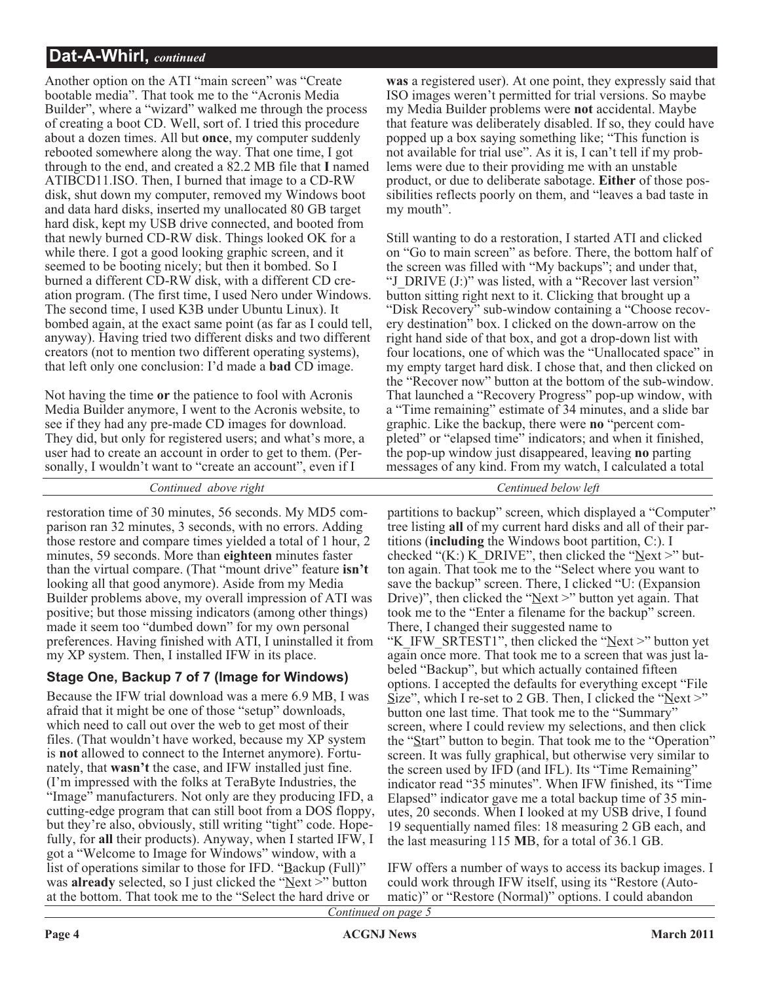Another option on the ATI "main screen" was "Create bootable media". That took me to the "Acronis Media Builder", where a "wizard" walked me through the process of creating a boot CD. Well, sort of. I tried this procedure about a dozen times. All but **once**, my computer suddenly rebooted somewhere along the way. That one time, I got through to the end, and created a 82.2 MB file that **I** named ATIBCD11.ISO. Then, I burned that image to a CD-RW disk, shut down my computer, removed my Windows boot and data hard disks, inserted my unallocated 80 GB target hard disk, kept my USB drive connected, and booted from that newly burned CD-RW disk. Things looked OK for a while there. I got a good looking graphic screen, and it seemed to be booting nicely; but then it bombed. So I burned a different CD-RW disk, with a different CD creation program. (The first time, I used Nero under Windows. The second time, I used K3B under Ubuntu Linux). It bombed again, at the exact same point (as far as I could tell, anyway). Having tried two different disks and two different creators (not to mention two different operating systems), that left only one conclusion: I'd made a **bad** CD image.

Not having the time **or** the patience to fool with Acronis Media Builder anymore, I went to the Acronis website, to see if they had any pre-made CD images for download. They did, but only for registered users; and what's more, a user had to create an account in order to get to them. (Personally, I wouldn't want to "create an account", even if I

*Continued above right Centinued below left*

restoration time of 30 minutes, 56 seconds. My MD5 comparison ran 32 minutes, 3 seconds, with no errors. Adding those restore and compare times yielded a total of 1 hour, 2 minutes, 59 seconds. More than **eighteen** minutes faster than the virtual compare. (That "mount drive" feature **isn't** looking all that good anymore). Aside from my Media Builder problems above, my overall impression of ATI was positive; but those missing indicators (among other things) made it seem too "dumbed down" for my own personal preferences. Having finished with ATI, I uninstalled it from my XP system. Then, I installed IFW in its place.

#### **Stage One, Backup 7 of 7 (Image for Windows)**

Because the IFW trial download was a mere 6.9 MB, I was afraid that it might be one of those "setup" downloads, which need to call out over the web to get most of their files. (That wouldn't have worked, because my XP system is **not** allowed to connect to the Internet anymore). Fortunately, that **wasn't** the case, and IFW installed just fine. (I'm impressed with the folks at TeraByte Industries, the "Image" manufacturers. Not only are they producing IFD, a cutting-edge program that can still boot from a DOS floppy, but they're also, obviously, still writing "tight" code. Hopefully, for **all** their products). Anyway, when I started IFW, I got a "Welcome to Image for Windows" window, with a list of operations similar to those for IFD. "Backup (Full)" was **already** selected, so I just clicked the "Next >" button at the bottom. That took me to the "Select the hard drive or

**was** a registered user). At one point, they expressly said that ISO images weren't permitted for trial versions. So maybe my Media Builder problems were **not** accidental. Maybe that feature was deliberately disabled. If so, they could have popped up a box saying something like; "This function is not available for trial use". As it is, I can't tell if my problems were due to their providing me with an unstable product, or due to deliberate sabotage. **Either** of those possibilities reflects poorly on them, and "leaves a bad taste in my mouth".

Still wanting to do a restoration, I started ATI and clicked on "Go to main screen" as before. There, the bottom half of the screen was filled with "My backups"; and under that, "J\_DRIVE (J:)" was listed, with a "Recover last version" button sitting right next to it. Clicking that brought up a "Disk Recovery" sub-window containing a "Choose recovery destination" box. I clicked on the down-arrow on the right hand side of that box, and got a drop-down list with four locations, one of which was the "Unallocated space" in my empty target hard disk. I chose that, and then clicked on the "Recover now" button at the bottom of the sub-window. That launched a "Recovery Progress" pop-up window, with a "Time remaining" estimate of 34 minutes, and a slide bar graphic. Like the backup, there were **no** "percent completed" or "elapsed time" indicators; and when it finished, the pop-up window just disappeared, leaving **no** parting messages of any kind. From my watch, I calculated a total

partitions to backup" screen, which displayed a "Computer" tree listing **all** of my current hard disks and all of their partitions (**including** the Windows boot partition, C:). I checked "(K:)  $K$ <sup>DRIVE"</sup>, then clicked the "Next >" button again. That took me to the "Select where you want to save the backup" screen. There, I clicked "U: (Expansion Drive)", then clicked the "Next >" button yet again. That took me to the "Enter a filename for the backup" screen. There, I changed their suggested name to "K\_IFW\_SRTEST1", then clicked the " $Next$ " button yet again once more. That took me to a screen that was just labeled "Backup", but which actually contained fifteen options. I accepted the defaults for everything except "File Size", which I re-set to 2 GB. Then, I clicked the "Next  $>$ " button one last time. That took me to the "Summary" screen, where I could review my selections, and then click the "Start" button to begin. That took me to the "Operation" screen. It was fully graphical, but otherwise very similar to the screen used by IFD (and IFL). Its "Time Remaining" indicator read "35 minutes". When IFW finished, its "Time Elapsed" indicator gave me a total backup time of 35 minutes, 20 seconds. When I looked at my USB drive, I found 19 sequentially named files: 18 measuring 2 GB each, and the last measuring 115 **M**B, for a total of 36.1 GB.

IFW offers a number of ways to access its backup images. I could work through IFW itself, using its "Restore (Automatic)" or "Restore (Normal)" options. I could abandon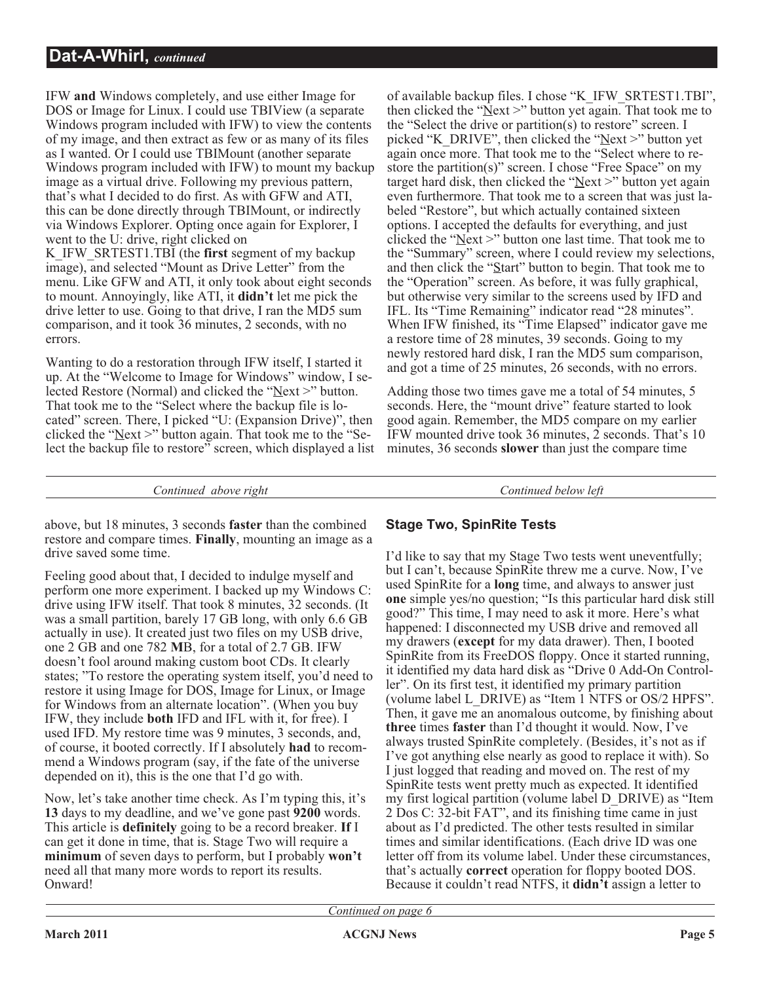IFW **and** Windows completely, and use either Image for DOS or Image for Linux. I could use TBIView (a separate Windows program included with IFW) to view the contents of my image, and then extract as few or as many of its files as I wanted. Or I could use TBIMount (another separate Windows program included with IFW) to mount my backup image as a virtual drive. Following my previous pattern, that's what I decided to do first. As with GFW and ATI, this can be done directly through TBIMount, or indirectly via Windows Explorer. Opting once again for Explorer, I went to the U: drive, right clicked on

K\_IFW\_SRTEST1.TBI (the **first** segment of my backup image), and selected "Mount as Drive Letter" from the menu. Like GFW and ATI, it only took about eight seconds to mount. Annoyingly, like ATI, it **didn't** let me pick the drive letter to use. Going to that drive, I ran the MD5 sum comparison, and it took 36 minutes, 2 seconds, with no errors.

Wanting to do a restoration through IFW itself, I started it up. At the "Welcome to Image for Windows" window, I selected Restore (Normal) and clicked the "Next >" button. That took me to the "Select where the backup file is located" screen. There, I picked "U: (Expansion Drive)", then clicked the "Next  $>$ " button again. That took me to the "Select the backup file to restore" screen, which displayed a list

of available backup files. I chose "K\_IFW\_SRTEST1.TBI", then clicked the "Next >" button yet again. That took me to the "Select the drive or partition(s) to restore" screen. I picked "K\_DRIVE", then clicked the "Next >" button yet again once more. That took me to the "Select where to restore the partition(s)" screen. I chose "Free Space" on my target hard disk, then clicked the " $Next$ " button yet again even furthermore. That took me to a screen that was just labeled "Restore", but which actually contained sixteen options. I accepted the defaults for everything, and just clicked the "Next >" button one last time. That took me to the "Summary" screen, where I could review my selections, and then click the "Start" button to begin. That took me to the "Operation" screen. As before, it was fully graphical, but otherwise very similar to the screens used by IFD and IFL. Its "Time Remaining" indicator read "28 minutes". When IFW finished, its "Time Elapsed" indicator gave me a restore time of 28 minutes, 39 seconds. Going to my newly restored hard disk, I ran the MD5 sum comparison, and got a time of 25 minutes, 26 seconds, with no errors.

Adding those two times gave me a total of 54 minutes, 5 seconds. Here, the "mount drive" feature started to look good again. Remember, the MD5 compare on my earlier IFW mounted drive took 36 minutes, 2 seconds. That's 10 minutes, 36 seconds **slower** than just the compare time

*Continued above right Continued below left*

above, but 18 minutes, 3 seconds **faster** than the combined restore and compare times. **Finally**, mounting an image as a drive saved some time.

Feeling good about that, I decided to indulge myself and perform one more experiment. I backed up my Windows C: drive using IFW itself. That took 8 minutes, 32 seconds. (It was a small partition, barely 17 GB long, with only 6.6 GB actually in use). It created just two files on my USB drive, one 2 GB and one 782 **M**B, for a total of 2.7 GB. IFW doesn't fool around making custom boot CDs. It clearly states; "To restore the operating system itself, you'd need to restore it using Image for DOS, Image for Linux, or Image for Windows from an alternate location". (When you buy IFW, they include **both** IFD and IFL with it, for free). I used IFD. My restore time was 9 minutes, 3 seconds, and, of course, it booted correctly. If I absolutely **had** to recommend a Windows program (say, if the fate of the universe depended on it), this is the one that I'd go with.

Now, let's take another time check. As I'm typing this, it's **13** days to my deadline, and we've gone past **9200** words. This article is **definitely** going to be a record breaker. **If** I can get it done in time, that is. Stage Two will require a **minimum** of seven days to perform, but I probably **won't** need all that many more words to report its results. Onward!

#### **Stage Two, SpinRite Tests**

I'd like to say that my Stage Two tests went uneventfully; but I can't, because SpinRite threw me a curve. Now, I've used SpinRite for a **long** time, and always to answer just **one** simple yes/no question; "Is this particular hard disk still good?" This time, I may need to ask it more. Here's what happened: I disconnected my USB drive and removed all my drawers (**except** for my data drawer). Then, I booted SpinRite from its FreeDOS floppy. Once it started running, it identified my data hard disk as "Drive 0 Add-On Controller". On its first test, it identified my primary partition (volume label L\_DRIVE) as "Item 1 NTFS or OS/2 HPFS". Then, it gave me an anomalous outcome, by finishing about **three** times **faster** than I'd thought it would. Now, I've always trusted SpinRite completely. (Besides, it's not as if I've got anything else nearly as good to replace it with). So I just logged that reading and moved on. The rest of my SpinRite tests went pretty much as expected. It identified my first logical partition (volume label D\_DRIVE) as "Item 2 Dos C: 32-bit FAT", and its finishing time came in just about as I'd predicted. The other tests resulted in similar times and similar identifications. (Each drive ID was one letter off from its volume label. Under these circumstances, that's actually **correct** operation for floppy booted DOS. Because it couldn't read NTFS, it **didn't** assign a letter to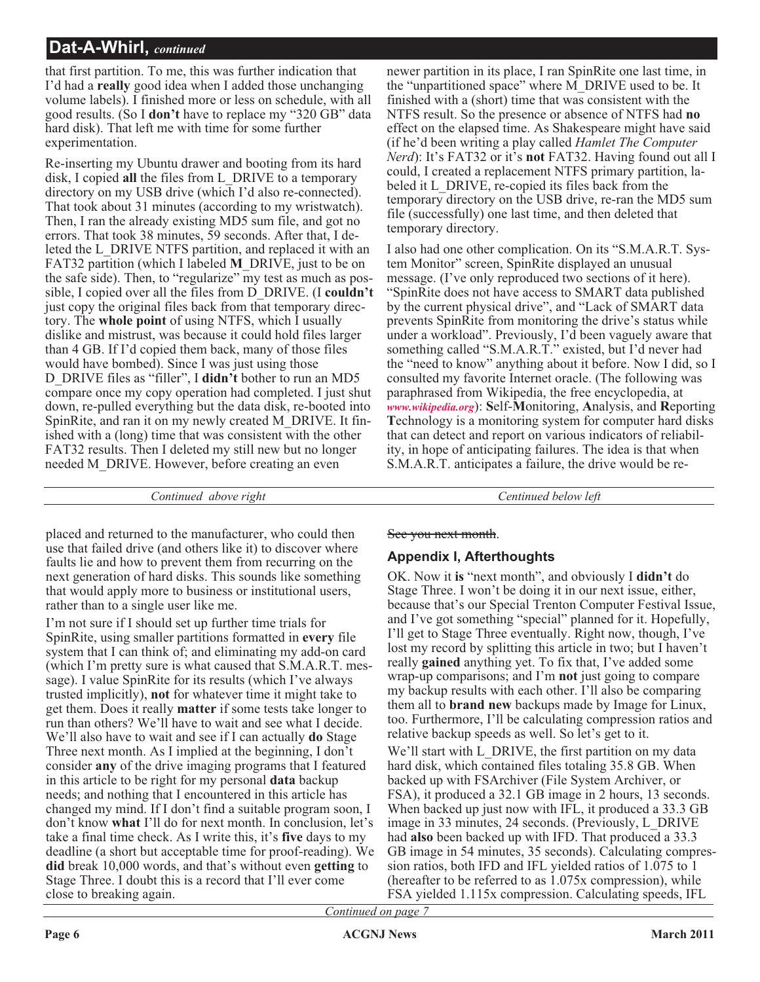that first partition. To me, this was further indication that I'd had a **really** good idea when I added those unchanging volume labels). I finished more or less on schedule, with all good results. (So I **don't** have to replace my "320 GB" data hard disk). That left me with time for some further experimentation.

Re-inserting my Ubuntu drawer and booting from its hard disk, I copied **all** the files from L\_DRIVE to a temporary directory on my USB drive (which I'd also re-connected). That took about 31 minutes (according to my wristwatch). Then, I ran the already existing MD5 sum file, and got no errors. That took 38 minutes, 59 seconds. After that, I deleted the L\_DRIVE NTFS partition, and replaced it with an FAT32 partition (which I labeled **M**\_DRIVE, just to be on the safe side). Then, to "regularize" my test as much as possible, I copied over all the files from D\_DRIVE. (I **couldn't** just copy the original files back from that temporary directory. The **whole point** of using NTFS, which I usually dislike and mistrust, was because it could hold files larger than 4 GB. If I'd copied them back, many of those files would have bombed). Since I was just using those D\_DRIVE files as "filler", I **didn't** bother to run an MD5 compare once my copy operation had completed. I just shut down, re-pulled everything but the data disk, re-booted into SpinRite, and ran it on my newly created M\_DRIVE. It finished with a (long) time that was consistent with the other FAT32 results. Then I deleted my still new but no longer needed M\_DRIVE. However, before creating an even

newer partition in its place, I ran SpinRite one last time, in the "unpartitioned space" where M\_DRIVE used to be. It finished with a (short) time that was consistent with the NTFS result. So the presence or absence of NTFS had **no** effect on the elapsed time. As Shakespeare might have said (if he'd been writing a play called *Hamlet The Computer Nerd*): It's FAT32 or it's **not** FAT32. Having found out all I could, I created a replacement NTFS primary partition, labeled it L\_DRIVE, re-copied its files back from the temporary directory on the USB drive, re-ran the MD5 sum file (successfully) one last time, and then deleted that temporary directory.

I also had one other complication. On its "S.M.A.R.T. System Monitor" screen, SpinRite displayed an unusual message. (I've only reproduced two sections of it here). "SpinRite does not have access to SMART data published by the current physical drive", and "Lack of SMART data prevents SpinRite from monitoring the drive's status while under a workload". Previously, I'd been vaguely aware that something called "S.M.A.R.T." existed, but I'd never had the "need to know" anything about it before. Now I did, so I consulted my favorite Internet oracle. (The following was paraphrased from Wikipedia, the free encyclopedia, at *[www.wikipedia.org](http://www.wikipedia.org)*): **S**elf-**M**onitoring, **A**nalysis, and **R**eporting **T**echnology is a monitoring system for computer hard disks that can detect and report on various indicators of reliability, in hope of anticipating failures. The idea is that when S.M.A.R.T. anticipates a failure, the drive would be re-

*Continued above right Centinued below left*

placed and returned to the manufacturer, who could then use that failed drive (and others like it) to discover where faults lie and how to prevent them from recurring on the next generation of hard disks. This sounds like something that would apply more to business or institutional users, rather than to a single user like me.

I'm not sure if I should set up further time trials for SpinRite, using smaller partitions formatted in **every** file system that I can think of; and eliminating my add-on card (which I'm pretty sure is what caused that S.M.A.R.T. message). I value SpinRite for its results (which I've always trusted implicitly), **not** for whatever time it might take to get them. Does it really **matter** if some tests take longer to run than others? We'll have to wait and see what I decide. We'll also have to wait and see if I can actually **do** Stage Three next month. As I implied at the beginning, I don't consider **any** of the drive imaging programs that I featured in this article to be right for my personal **data** backup needs; and nothing that I encountered in this article has changed my mind. If I don't find a suitable program soon, I don't know **what** I'll do for next month. In conclusion, let's take a final time check. As I write this, it's **five** days to my deadline (a short but acceptable time for proof-reading). We **did** break 10,000 words, and that's without even **getting** to Stage Three. I doubt this is a record that I'll ever come close to breaking again.

See you next month.

#### **Appendix I, Afterthoughts**

OK. Now it **is** "next month", and obviously I **didn't** do Stage Three. I won't be doing it in our next issue, either, because that's our Special Trenton Computer Festival Issue, and I've got something "special" planned for it. Hopefully, I'll get to Stage Three eventually. Right now, though, I've lost my record by splitting this article in two; but I haven't really **gained** anything yet. To fix that, I've added some wrap-up comparisons; and I'm **not** just going to compare my backup results with each other. I'll also be comparing them all to **brand new** backups made by Image for Linux, too. Furthermore, I'll be calculating compression ratios and relative backup speeds as well. So let's get to it.

We'll start with L\_DRIVE, the first partition on my data hard disk, which contained files totaling 35.8 GB. When backed up with FSArchiver (File System Archiver, or FSA), it produced a 32.1 GB image in 2 hours, 13 seconds. When backed up just now with IFL, it produced a 33.3 GB image in 33 minutes, 24 seconds. (Previously, L\_DRIVE had **also** been backed up with IFD. That produced a 33.3 GB image in 54 minutes, 35 seconds). Calculating compression ratios, both IFD and IFL yielded ratios of 1.075 to 1 (hereafter to be referred to as 1.075x compression), while FSA yielded 1.115x compression. Calculating speeds, IFL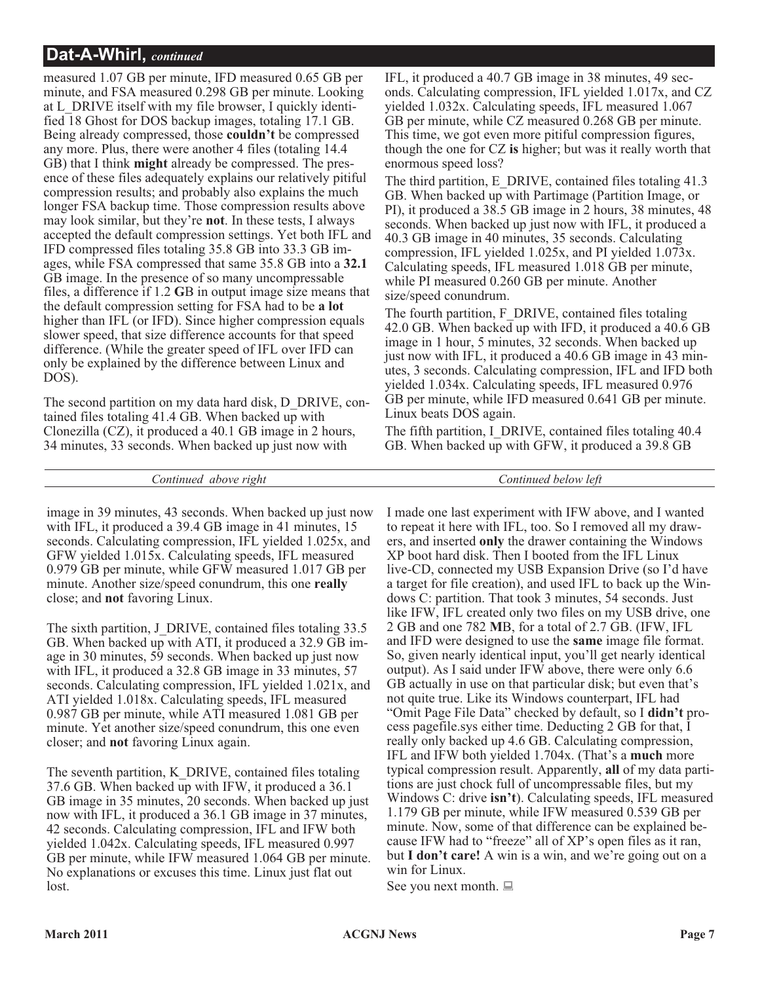measured 1.07 GB per minute, IFD measured 0.65 GB per minute, and FSA measured 0.298 GB per minute. Looking at L\_DRIVE itself with my file browser, I quickly identified 18 Ghost for DOS backup images, totaling 17.1 GB. Being already compressed, those **couldn't** be compressed any more. Plus, there were another 4 files (totaling 14.4 GB) that I think **might** already be compressed. The presence of these files adequately explains our relatively pitiful compression results; and probably also explains the much longer FSA backup time. Those compression results above may look similar, but they're **not**. In these tests, I always accepted the default compression settings. Yet both IFL and IFD compressed files totaling 35.8 GB into 33.3 GB images, while FSA compressed that same 35.8 GB into a **32.1** GB image. In the presence of so many uncompressable files, a difference if 1.2 **G**B in output image size means that the default compression setting for FSA had to be **a lot** higher than IFL (or IFD). Since higher compression equals slower speed, that size difference accounts for that speed difference. (While the greater speed of IFL over IFD can only be explained by the difference between Linux and DOS).

The second partition on my data hard disk, D\_DRIVE, contained files totaling 41.4 GB. When backed up with Clonezilla (CZ), it produced a 40.1 GB image in 2 hours, 34 minutes, 33 seconds. When backed up just now with

IFL, it produced a 40.7 GB image in 38 minutes, 49 seconds. Calculating compression, IFL yielded 1.017x, and CZ yielded 1.032x. Calculating speeds, IFL measured 1.067 GB per minute, while CZ measured 0.268 GB per minute. This time, we got even more pitiful compression figures, though the one for CZ **is** higher; but was it really worth that enormous speed loss?

The third partition, E\_DRIVE, contained files totaling 41.3 GB. When backed up with Partimage (Partition Image, or PI), it produced a 38.5 GB image in 2 hours, 38 minutes, 48 seconds. When backed up just now with IFL, it produced a 40.3 GB image in 40 minutes, 35 seconds. Calculating compression, IFL yielded 1.025x, and PI yielded 1.073x. Calculating speeds, IFL measured 1.018 GB per minute, while PI measured 0.260 GB per minute. Another size/speed conundrum.

The fourth partition, F\_DRIVE, contained files totaling 42.0 GB. When backed up with IFD, it produced a 40.6 GB image in 1 hour, 5 minutes, 32 seconds. When backed up just now with IFL, it produced a 40.6 GB image in 43 minutes, 3 seconds. Calculating compression, IFL and IFD both yielded 1.034x. Calculating speeds, IFL measured 0.976 GB per minute, while IFD measured 0.641 GB per minute. Linux beats DOS again.

The fifth partition, I\_DRIVE, contained files totaling 40.4 GB. When backed up with GFW, it produced a 39.8 GB

*Continued above right Continued below left*

image in 39 minutes, 43 seconds. When backed up just now with IFL, it produced a 39.4 GB image in 41 minutes, 15 seconds. Calculating compression, IFL yielded 1.025x, and GFW yielded 1.015x. Calculating speeds, IFL measured 0.979 GB per minute, while GFW measured 1.017 GB per minute. Another size/speed conundrum, this one **really** close; and **not** favoring Linux.

The sixth partition, J\_DRIVE, contained files totaling 33.5 GB. When backed up with ATI, it produced a 32.9 GB image in 30 minutes, 59 seconds. When backed up just now with IFL, it produced a 32.8 GB image in 33 minutes, 57 seconds. Calculating compression, IFL yielded 1.021x, and ATI yielded 1.018x. Calculating speeds, IFL measured 0.987 GB per minute, while ATI measured 1.081 GB per minute. Yet another size/speed conundrum, this one even closer; and **not** favoring Linux again.

The seventh partition, K\_DRIVE, contained files totaling 37.6 GB. When backed up with IFW, it produced a 36.1 GB image in 35 minutes, 20 seconds. When backed up just now with IFL, it produced a 36.1 GB image in 37 minutes, 42 seconds. Calculating compression, IFL and IFW both yielded 1.042x. Calculating speeds, IFL measured 0.997 GB per minute, while IFW measured 1.064 GB per minute. No explanations or excuses this time. Linux just flat out lost.

I made one last experiment with IFW above, and I wanted to repeat it here with IFL, too. So I removed all my drawers, and inserted **only** the drawer containing the Windows XP boot hard disk. Then I booted from the IFL Linux live-CD, connected my USB Expansion Drive (so I'd have a target for file creation), and used IFL to back up the Windows C: partition. That took 3 minutes, 54 seconds. Just like IFW, IFL created only two files on my USB drive, one 2 GB and one 782 **M**B, for a total of 2.7 GB. (IFW, IFL and IFD were designed to use the **same** image file format. So, given nearly identical input, you'll get nearly identical output). As I said under IFW above, there were only 6.6 GB actually in use on that particular disk; but even that's not quite true. Like its Windows counterpart, IFL had "Omit Page File Data" checked by default, so I **didn't** process pagefile.sys either time. Deducting 2 GB for that, I really only backed up 4.6 GB. Calculating compression, IFL and IFW both yielded 1.704x. (That's a **much** more typical compression result. Apparently, **all** of my data partitions are just chock full of uncompressable files, but my Windows C: drive **isn't**). Calculating speeds, IFL measured 1.179 GB per minute, while IFW measured 0.539 GB per minute. Now, some of that difference can be explained because IFW had to "freeze" all of XP's open files as it ran, but **I don't care!** A win is a win, and we're going out on a win for Linux.

See you next month.  $\Box$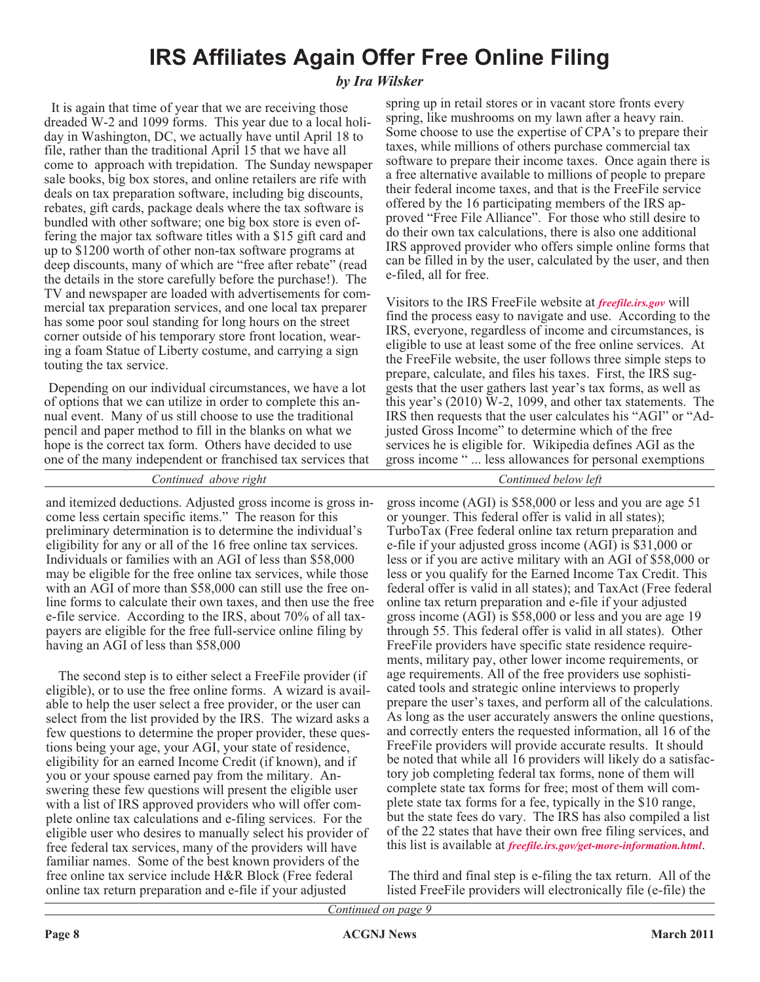### **IRS Affiliates Again Offer Free Online Filing**

#### *by Ira Wilsker*

It is again that time of year that we are receiving those dreaded W-2 and 1099 forms. This year due to a local holiday in Washington, DC, we actually have until April 18 to file, rather than the traditional April 15 that we have all come to approach with trepidation. The Sunday newspaper sale books, big box stores, and online retailers are rife with deals on tax preparation software, including big discounts, rebates, gift cards, package deals where the tax software is bundled with other software; one big box store is even offering the major tax software titles with a \$15 gift card and up to \$1200 worth of other non-tax software programs at deep discounts, many of which are "free after rebate" (read the details in the store carefully before the purchase!). The TV and newspaper are loaded with advertisements for commercial tax preparation services, and one local tax preparer has some poor soul standing for long hours on the street corner outside of his temporary store front location, wearing a foam Statue of Liberty costume, and carrying a sign touting the tax service.

Depending on our individual circumstances, we have a lot of options that we can utilize in order to complete this annual event. Many of us still choose to use the traditional pencil and paper method to fill in the blanks on what we hope is the correct tax form. Others have decided to use one of the many independent or franchised tax services that

spring up in retail stores or in vacant store fronts every spring, like mushrooms on my lawn after a heavy rain. Some choose to use the expertise of CPA's to prepare their taxes, while millions of others purchase commercial tax software to prepare their income taxes. Once again there is a free alternative available to millions of people to prepare their federal income taxes, and that is the FreeFile service offered by the 16 participating members of the IRS approved "Free File Alliance". For those who still desire to do their own tax calculations, there is also one additional IRS approved provider who offers simple online forms that can be filled in by the user, calculated by the user, and then e-filed, all for free.

Visitors to the IRS FreeFile website at *[freefile.irs.gov](http://freefile.irs.gov)* will find the process easy to navigate and use. According to the IRS, everyone, regardless of income and circumstances, is eligible to use at least some of the free online services. At the FreeFile website, the user follows three simple steps to prepare, calculate, and files his taxes. First, the IRS suggests that the user gathers last year's tax forms, as well as this year's (2010) W-2, 1099, and other tax statements. The IRS then requests that the user calculates his "AGI" or "Adjusted Gross Income" to determine which of the free services he is eligible for. Wikipedia defines AGI as the gross income " ... less allowances for personal exemptions

*Continued above right Continued below left*

and itemized deductions. Adjusted gross income is gross income less certain specific items." The reason for this preliminary determination is to determine the individual's eligibility for any or all of the 16 free online tax services. Individuals or families with an AGI of less than \$58,000 may be eligible for the free online tax services, while those with an AGI of more than \$58,000 can still use the free online forms to calculate their own taxes, and then use the free e-file service. According to the IRS, about 70% of all taxpayers are eligible for the free full-service online filing by having an AGI of less than \$58,000

The second step is to either select a FreeFile provider (if eligible), or to use the free online forms. A wizard is available to help the user select a free provider, or the user can select from the list provided by the IRS. The wizard asks a few questions to determine the proper provider, these questions being your age, your AGI, your state of residence, eligibility for an earned Income Credit (if known), and if you or your spouse earned pay from the military. Answering these few questions will present the eligible user with a list of IRS approved providers who will offer complete online tax calculations and e-filing services. For the eligible user who desires to manually select his provider of free federal tax services, many of the providers will have familiar names. Some of the best known providers of the free online tax service include H&R Block (Free federal online tax return preparation and e-file if your adjusted

gross income (AGI) is \$58,000 or less and you are age 51 or younger. This federal offer is valid in all states); TurboTax (Free federal online tax return preparation and e-file if your adjusted gross income (AGI) is \$31,000 or less or if you are active military with an AGI of \$58,000 or less or you qualify for the Earned Income Tax Credit. This federal offer is valid in all states); and TaxAct (Free federal online tax return preparation and e-file if your adjusted gross income (AGI) is \$58,000 or less and you are age 19 through 55. This federal offer is valid in all states). Other FreeFile providers have specific state residence requirements, military pay, other lower income requirements, or age requirements. All of the free providers use sophisticated tools and strategic online interviews to properly prepare the user's taxes, and perform all of the calculations. As long as the user accurately answers the online questions, and correctly enters the requested information, all 16 of the FreeFile providers will provide accurate results. It should be noted that while all 16 providers will likely do a satisfactory job completing federal tax forms, none of them will complete state tax forms for free; most of them will complete state tax forms for a fee, typically in the \$10 range, but the state fees do vary. The IRS has also compiled a list of the 22 states that have their own free filing services, and this list is available at *[freefile.irs.gov/get-more-information.html](http://freefile.irs.gov/get-more-information.html)*.

The third and final step is e-filing the tax return. All of the listed FreeFile providers will electronically file (e-file) the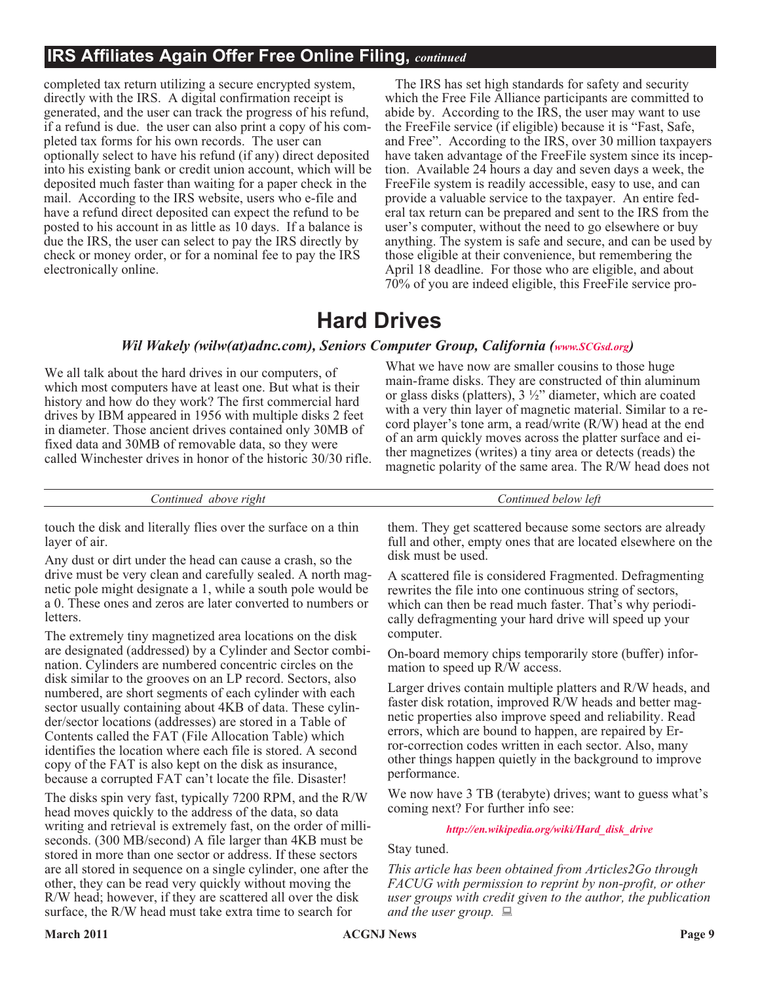#### **IRS Affiliates Again Offer Free Online Filing,** *continued*

completed tax return utilizing a secure encrypted system, directly with the IRS. A digital confirmation receipt is generated, and the user can track the progress of his refund, if a refund is due. the user can also print a copy of his completed tax forms for his own records. The user can optionally select to have his refund (if any) direct deposited into his existing bank or credit union account, which will be deposited much faster than waiting for a paper check in the mail. According to the IRS website, users who e-file and have a refund direct deposited can expect the refund to be posted to his account in as little as 10 days. If a balance is due the IRS, the user can select to pay the IRS directly by check or money order, or for a nominal fee to pay the IRS electronically online.

The IRS has set high standards for safety and security which the Free File Alliance participants are committed to abide by. According to the IRS, the user may want to use the FreeFile service (if eligible) because it is "Fast, Safe, and Free". According to the IRS, over 30 million taxpayers have taken advantage of the FreeFile system since its inception. Available 24 hours a day and seven days a week, the FreeFile system is readily accessible, easy to use, and can provide a valuable service to the taxpayer. An entire federal tax return can be prepared and sent to the IRS from the user's computer, without the need to go elsewhere or buy anything. The system is safe and secure, and can be used by those eligible at their convenience, but remembering the April 18 deadline. For those who are eligible, and about 70% of you are indeed eligible, this FreeFile service pro-

### **Hard Drives**

#### *Wil Wakely (wilw(at)adnc.com), Seniors Computer Group, California ([www.SCGsd.org](http://www.SCGsd.org))*

We all talk about the hard drives in our computers, of which most computers have at least one. But what is their history and how do they work? The first commercial hard drives by IBM appeared in 1956 with multiple disks 2 feet in diameter. Those ancient drives contained only 30MB of fixed data and 30MB of removable data, so they were called Winchester drives in honor of the historic 30/30 rifle.

What we have now are smaller cousins to those huge main-frame disks. They are constructed of thin aluminum or glass disks (platters), 3 ½" diameter, which are coated with a very thin layer of magnetic material. Similar to a record player's tone arm, a read/write (R/W) head at the end of an arm quickly moves across the platter surface and either magnetizes (writes) a tiny area or detects (reads) the magnetic polarity of the same area. The R/W head does not

*Continued above right Continued below left*

touch the disk and literally flies over the surface on a thin layer of air.

Any dust or dirt under the head can cause a crash, so the drive must be very clean and carefully sealed. A north magnetic pole might designate a 1, while a south pole would be a 0. These ones and zeros are later converted to numbers or letters.

The extremely tiny magnetized area locations on the disk are designated (addressed) by a Cylinder and Sector combination. Cylinders are numbered concentric circles on the disk similar to the grooves on an LP record. Sectors, also numbered, are short segments of each cylinder with each sector usually containing about 4KB of data. These cylinder/sector locations (addresses) are stored in a Table of Contents called the FAT (File Allocation Table) which identifies the location where each file is stored. A second copy of the FAT is also kept on the disk as insurance, because a corrupted FAT can't locate the file. Disaster!

The disks spin very fast, typically 7200 RPM, and the R/W head moves quickly to the address of the data, so data writing and retrieval is extremely fast, on the order of milliseconds. (300 MB/second) A file larger than 4KB must be stored in more than one sector or address. If these sectors are all stored in sequence on a single cylinder, one after the other, they can be read very quickly without moving the R/W head; however, if they are scattered all over the disk surface, the R/W head must take extra time to search for

them. They get scattered because some sectors are already full and other, empty ones that are located elsewhere on the disk must be used.

A scattered file is considered Fragmented. Defragmenting rewrites the file into one continuous string of sectors, which can then be read much faster. That's why periodically defragmenting your hard drive will speed up your computer.

On-board memory chips temporarily store (buffer) information to speed up R/W access.

Larger drives contain multiple platters and R/W heads, and faster disk rotation, improved R/W heads and better magnetic properties also improve speed and reliability. Read errors, which are bound to happen, are repaired by Error-correction codes written in each sector. Also, many other things happen quietly in the background to improve performance.

We now have 3 TB (terabyte) drives; want to guess what's coming next? For further info see:

#### *[http://en.wikipedia.org/wiki/Hard\\_disk\\_drive](http://en.wikipedia.org/wiki/Hard_disk_drive)*

Stay tuned.

*This article has been obtained from Articles2Go through FACUG with permission to reprint by non-profit, or other user groups with credit given to the author, the publication and the user group.*  $\Box$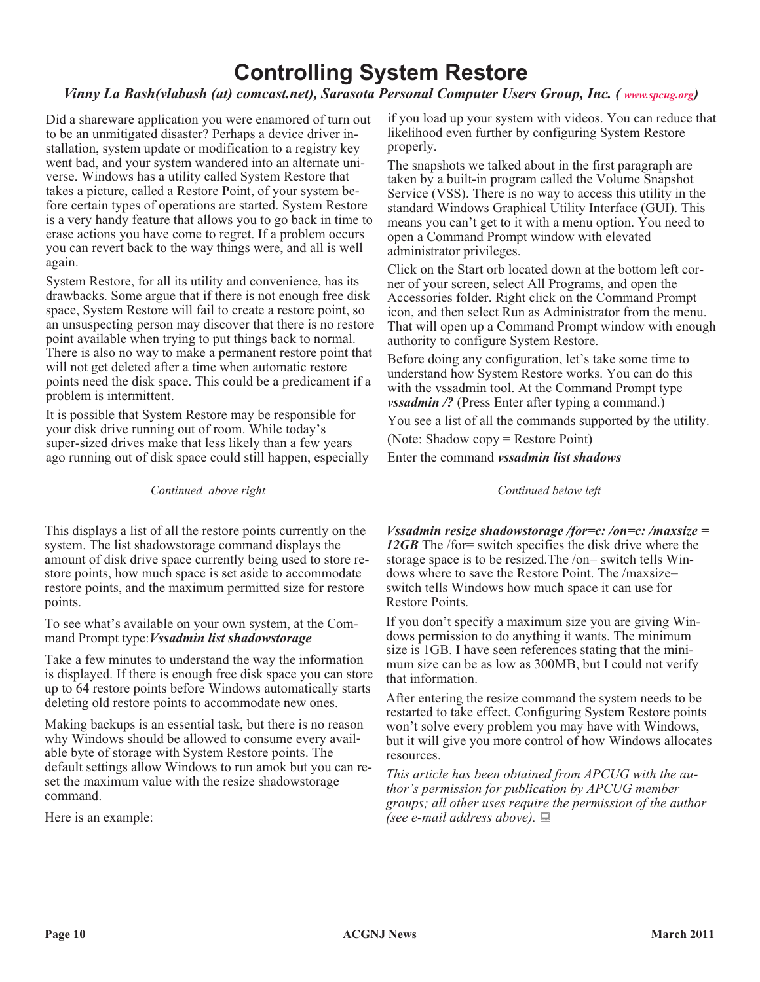### **Controlling System Restore**

#### *Vinny La Bash(vlabash (at) comcast.net), Sarasota Personal Computer Users Group, Inc. ( [www.spcug.org](http://www.spcug.org))*

Did a shareware application you were enamored of turn out to be an unmitigated disaster? Perhaps a device driver installation, system update or modification to a registry key went bad, and your system wandered into an alternate universe. Windows has a utility called System Restore that takes a picture, called a Restore Point, of your system before certain types of operations are started. System Restore is a very handy feature that allows you to go back in time to erase actions you have come to regret. If a problem occurs you can revert back to the way things were, and all is well again.

System Restore, for all its utility and convenience, has its drawbacks. Some argue that if there is not enough free disk space, System Restore will fail to create a restore point, so an unsuspecting person may discover that there is no restore point available when trying to put things back to normal. There is also no way to make a permanent restore point that will not get deleted after a time when automatic restore points need the disk space. This could be a predicament if a problem is intermittent.

It is possible that System Restore may be responsible for your disk drive running out of room. While today's super-sized drives make that less likely than a few years ago running out of disk space could still happen, especially if you load up your system with videos. You can reduce that likelihood even further by configuring System Restore properly.

The snapshots we talked about in the first paragraph are taken by a built-in program called the Volume Snapshot Service (VSS). There is no way to access this utility in the standard Windows Graphical Utility Interface (GUI). This means you can't get to it with a menu option. You need to open a Command Prompt window with elevated administrator privileges.

Click on the Start orb located down at the bottom left corner of your screen, select All Programs, and open the Accessories folder. Right click on the Command Prompt icon, and then select Run as Administrator from the menu. That will open up a Command Prompt window with enough authority to configure System Restore.

Before doing any configuration, let's take some time to understand how System Restore works. You can do this with the vssadmin tool. At the Command Prompt type *vssadmin* /? (Press Enter after typing a command.)

You see a list of all the commands supported by the utility.

(Note: Shadow copy = Restore Point)

Enter the command *vssadmin list shadows*

*Continued above right Continued below left*

This displays a list of all the restore points currently on the system. The list shadowstorage command displays the amount of disk drive space currently being used to store restore points, how much space is set aside to accommodate restore points, and the maximum permitted size for restore points.

To see what's available on your own system, at the Command Prompt type:*Vssadmin list shadowstorage*

Take a few minutes to understand the way the information is displayed. If there is enough free disk space you can store up to 64 restore points before Windows automatically starts deleting old restore points to accommodate new ones.

Making backups is an essential task, but there is no reason why Windows should be allowed to consume every available byte of storage with System Restore points. The default settings allow Windows to run amok but you can reset the maximum value with the resize shadowstorage command.

Here is an example:

*Vssadmin resize shadowstorage /for=c: /on=c: /maxsize = 12GB* The /for= switch specifies the disk drive where the storage space is to be resized.The /on= switch tells Windows where to save the Restore Point. The /maxsize= switch tells Windows how much space it can use for Restore Points.

If you don't specify a maximum size you are giving Windows permission to do anything it wants. The minimum size is 1GB. I have seen references stating that the minimum size can be as low as 300MB, but I could not verify that information.

After entering the resize command the system needs to be restarted to take effect. Configuring System Restore points won't solve every problem you may have with Windows, but it will give you more control of how Windows allocates resources.

*This article has been obtained from APCUG with the author's permission for publication by APCUG member groups; all other uses require the permission of the author (see e-mail address above).*  $\Box$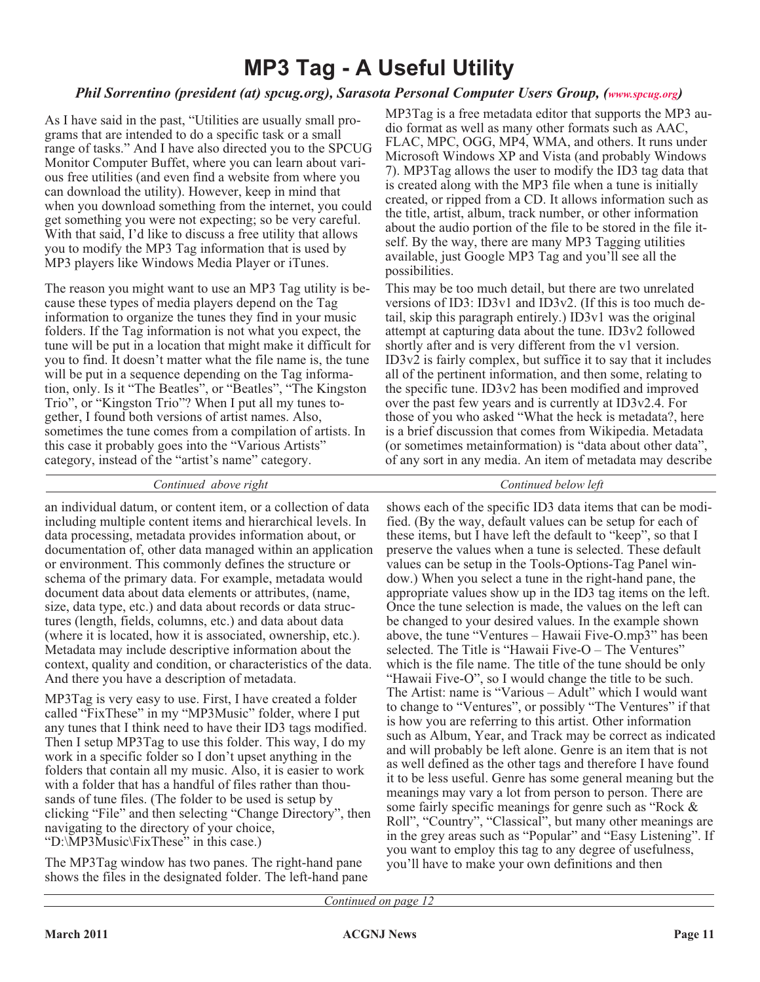### **MP3 Tag - A Useful Utility**

#### *Phil Sorrentino (president (at) spcug.org), Sarasota Personal Computer Users Group, ([www.spcug.org](http://www.spcug.org))*

As I have said in the past, "Utilities are usually small programs that are intended to do a specific task or a small range of tasks." And I have also directed you to the SPCUG Monitor Computer Buffet, where you can learn about various free utilities (and even find a website from where you can download the utility). However, keep in mind that when you download something from the internet, you could get something you were not expecting; so be very careful. With that said, I'd like to discuss a free utility that allows you to modify the MP3 Tag information that is used by MP3 players like Windows Media Player or iTunes.

The reason you might want to use an MP3 Tag utility is because these types of media players depend on the Tag information to organize the tunes they find in your music folders. If the Tag information is not what you expect, the tune will be put in a location that might make it difficult for you to find. It doesn't matter what the file name is, the tune will be put in a sequence depending on the Tag information, only. Is it "The Beatles", or "Beatles", "The Kingston Trio", or "Kingston Trio"? When I put all my tunes together, I found both versions of artist names. Also, sometimes the tune comes from a compilation of artists. In this case it probably goes into the "Various Artists" category, instead of the "artist's name" category.

MP3Tag is a free metadata editor that supports the MP3 audio format as well as many other formats such as AAC, FLAC, MPC, OGG, MP4, WMA, and others. It runs under Microsoft Windows XP and Vista (and probably Windows 7). MP3Tag allows the user to modify the ID3 tag data that is created along with the MP3 file when a tune is initially created, or ripped from a CD. It allows information such as the title, artist, album, track number, or other information about the audio portion of the file to be stored in the file itself. By the way, there are many MP3 Tagging utilities available, just Google MP3 Tag and you'll see all the possibilities.

This may be too much detail, but there are two unrelated versions of ID3: ID3v1 and ID3v2. (If this is too much detail, skip this paragraph entirely.) ID3v1 was the original attempt at capturing data about the tune. ID3v2 followed shortly after and is very different from the v1 version. ID3v2 is fairly complex, but suffice it to say that it includes all of the pertinent information, and then some, relating to the specific tune. ID3v2 has been modified and improved over the past few years and is currently at ID3v2.4. For those of you who asked "What the heck is metadata?, here is a brief discussion that comes from Wikipedia. Metadata (or sometimes metainformation) is "data about other data", of any sort in any media. An item of metadata may describe

#### *Continued above right Continued below left*

an individual datum, or content item, or a collection of data including multiple content items and hierarchical levels. In data processing, metadata provides information about, or documentation of, other data managed within an application or environment. This commonly defines the structure or schema of the primary data. For example, metadata would document data about data elements or attributes, (name, size, data type, etc.) and data about records or data structures (length, fields, columns, etc.) and data about data (where it is located, how it is associated, ownership, etc.). Metadata may include descriptive information about the context, quality and condition, or characteristics of the data. And there you have a description of metadata.

MP3Tag is very easy to use. First, I have created a folder called "FixThese" in my "MP3Music" folder, where I put any tunes that I think need to have their ID3 tags modified. Then I setup MP3Tag to use this folder. This way, I do my work in a specific folder so I don't upset anything in the folders that contain all my music. Also, it is easier to work with a folder that has a handful of files rather than thousands of tune files. (The folder to be used is setup by clicking "File" and then selecting "Change Directory", then navigating to the directory of your choice, "D:\MP3Music\FixThese" in this case.)

The MP3Tag window has two panes. The right-hand pane shows the files in the designated folder. The left-hand pane

shows each of the specific ID3 data items that can be modified. (By the way, default values can be setup for each of these items, but I have left the default to "keep", so that I preserve the values when a tune is selected. These default values can be setup in the Tools-Options-Tag Panel window.) When you select a tune in the right-hand pane, the appropriate values show up in the ID3 tag items on the left. Once the tune selection is made, the values on the left can be changed to your desired values. In the example shown above, the tune "Ventures – Hawaii Five-O.mp3" has been selected. The Title is "Hawaii Five-O – The Ventures" which is the file name. The title of the tune should be only "Hawaii Five-O", so I would change the title to be such. The Artist: name is "Various – Adult" which I would want to change to "Ventures", or possibly "The Ventures" if that is how you are referring to this artist. Other information such as Album, Year, and Track may be correct as indicated and will probably be left alone. Genre is an item that is not as well defined as the other tags and therefore I have found it to be less useful. Genre has some general meaning but the meanings may vary a lot from person to person. There are some fairly specific meanings for genre such as "Rock & Roll", "Country", "Classical", but many other meanings are in the grey areas such as "Popular" and "Easy Listening". If you want to employ this tag to any degree of usefulness, you'll have to make your own definitions and then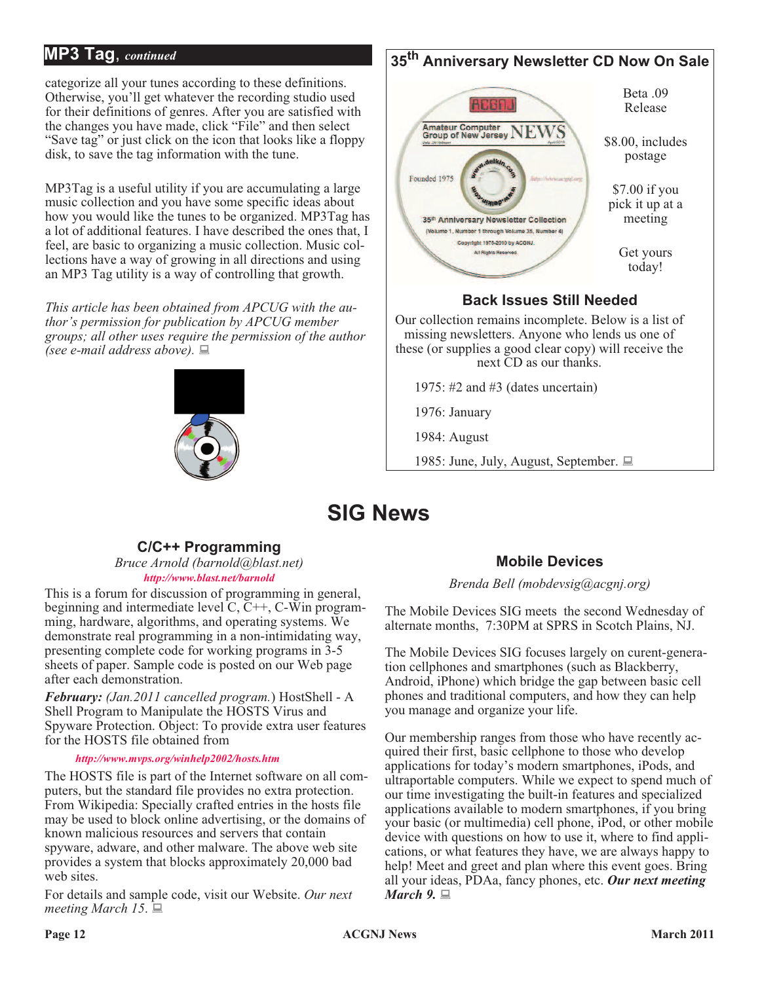#### **MP3 Tag**, *continued*

categorize all your tunes according to these definitions. Otherwise, you'll get whatever the recording studio used for their definitions of genres. After you are satisfied with the changes you have made, click "File" and then select "Save tag" or just click on the icon that looks like a floppy disk, to save the tag information with the tune.

MP3Tag is a useful utility if you are accumulating a large music collection and you have some specific ideas about how you would like the tunes to be organized. MP3Tag has a lot of additional features. I have described the ones that, I feel, are basic to organizing a music collection. Music collections have a way of growing in all directions and using an MP3 Tag utility is a way of controlling that growth.

*This article has been obtained from APCUG with the author's permission for publication by APCUG member groups; all other uses require the permission of the author (see e-mail address above).*  $\Box$ 

### **35th Anniversary Newsletter CD Now On Sale**



1985: June, July, August, September.  $\Box$ 

### **SIG News**

#### **C/C++ Programming**

*Bruce Arnold (barnold@blast.net) <http://www.blast.net/barnold>*

This is a forum for discussion of programming in general, beginning and intermediate level  $C, \tilde{C}^{++}, C$ -Win programming, hardware, algorithms, and operating systems. We demonstrate real programming in a non-intimidating way, presenting complete code for working programs in 3-5 sheets of paper. Sample code is posted on our Web page after each demonstration.

*February: (Jan.2011 cancelled program.*) HostShell - A Shell Program to Manipulate the HOSTS Virus and Spyware Protection. Object: To provide extra user features for the HOSTS file obtained from

*<http://www.mvps.org/winhelp2002/hosts.htm>*

The HOSTS file is part of the Internet software on all computers, but the standard file provides no extra protection. From Wikipedia: Specially crafted entries in the hosts file may be used to block online advertising, or the domains of known malicious resources and servers that contain spyware, adware, and other malware. The above web site provides a system that blocks approximately 20,000 bad web sites.

For details and sample code, visit our Website. *Our next meeting March 15.*  $\Box$ 

#### **Mobile Devices**

*Brenda Bell (mobdevsig@acgnj.org)*

The Mobile Devices SIG meets the second Wednesday of alternate months, 7:30PM at SPRS in Scotch Plains, NJ.

The Mobile Devices SIG focuses largely on curent-generation cellphones and smartphones (such as Blackberry, Android, iPhone) which bridge the gap between basic cell phones and traditional computers, and how they can help you manage and organize your life.

Our membership ranges from those who have recently acquired their first, basic cellphone to those who develop applications for today's modern smartphones, iPods, and ultraportable computers. While we expect to spend much of our time investigating the built-in features and specialized applications available to modern smartphones, if you bring your basic (or multimedia) cell phone, iPod, or other mobile device with questions on how to use it, where to find applications, or what features they have, we are always happy to help! Meet and greet and plan where this event goes. Bring all your ideas, PDAa, fancy phones, etc. *Our next meeting March* 9.  $\Box$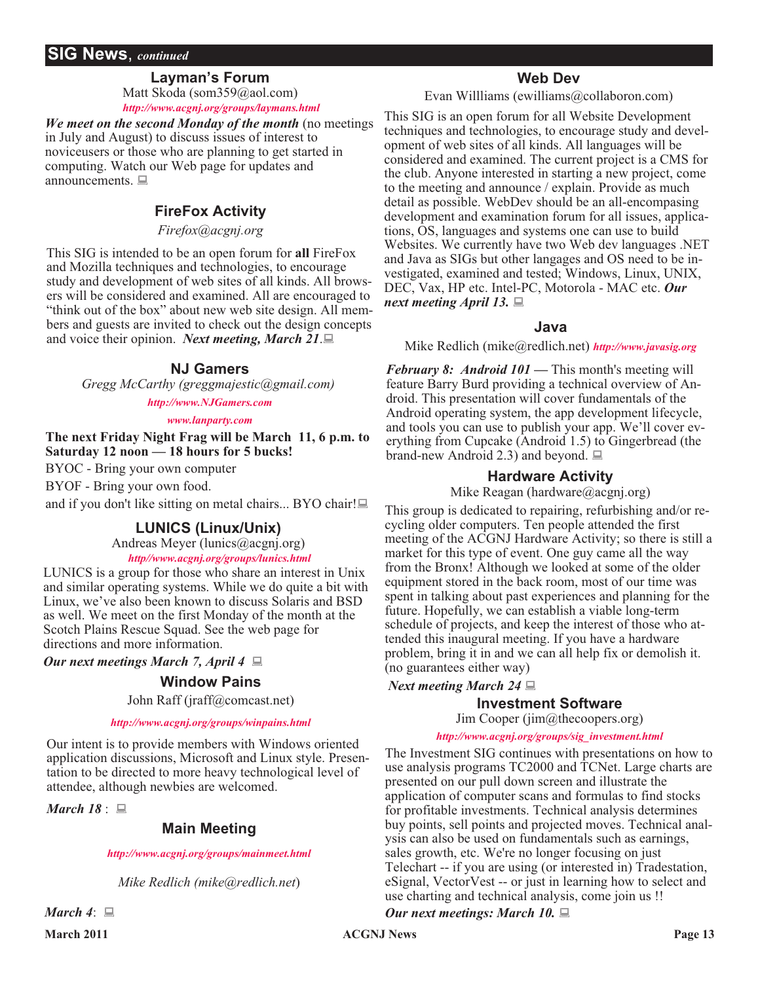#### **SIG News**, *continued*

#### **Layman's Forum**

Matt Skoda (som359@aol.com) *<http://www.acgnj.org/groups/laymans.html>*

*We meet on the second Monday of the month* (no meetings in July and August) to discuss issues of interest to noviceusers or those who are planning to get started in computing. Watch our Web page for updates and announcements.  $\Box$ 

#### **FireFox Activity**

*Firefox@acgnj.org*

This SIG is intended to be an open forum for **all** FireFox and Mozilla techniques and technologies, to encourage study and development of web sites of all kinds. All browsers will be considered and examined. All are encouraged to "think out of the box" about new web site design. All members and guests are invited to check out the design concepts and voice their opinion. *Next meeting, March 21*. $\Box$ 

#### **NJ Gamers**

*Gregg McCarthy (greggmajestic@gmail.com)*

*<http://www.NJGamers.com>*

#### *[www.lanparty.com](http://www.lanparty.com)*

**The next Friday Night Frag will be March 11, 6 p.m. to Saturday 12 noon — 18 hours for 5 bucks!**

BYOC - Bring your own computer

BYOF - Bring your own food.

and if you don't like sitting on metal chairs... BYO chair! $\Box$ 

#### **LUNICS (Linux/Unix)**

Andreas Meyer (lunics@acgnj.org)

*<http//www.acgnj.org/groups/lunics.html>*

LUNICS is a group for those who share an interest in Unix and similar operating systems. While we do quite a bit with Linux, we've also been known to discuss Solaris and BSD as well. We meet on the first Monday of the month at the Scotch Plains Rescue Squad. See the web page for directions and more information.

*Our next meetings March 7, April 4* :

#### **Window Pains**

John Raff (jraff@comcast.net)

#### *<http://www.acgnj.org/groups/winpains.html>*

Our intent is to provide members with Windows oriented application discussions, Microsoft and Linux style. Presentation to be directed to more heavy technological level of attendee, although newbies are welcomed.

*March* 18:

#### **Main Meeting**

*<http://www.acgnj.org/groups/mainmeet.html>*

*Mike Redlich (mike@redlich.net*)

#### **Web Dev**

Evan Willliams (ewilliams@collaboron.com)

This SIG is an open forum for all Website Development techniques and technologies, to encourage study and development of web sites of all kinds. All languages will be considered and examined. The current project is a CMS for the club. Anyone interested in starting a new project, come to the meeting and announce / explain. Provide as much detail as possible. WebDev should be an all-encompasing development and examination forum for all issues, applications, OS, languages and systems one can use to build Websites. We currently have two Web dev languages .NET and Java as SIGs but other langages and OS need to be investigated, examined and tested; Windows, Linux, UNIX, DEC, Vax, HP etc. Intel-PC, Motorola - MAC etc. *Our next meeting April 13.*  $\Box$ 

#### **Java**

Mike Redlich (mike@redlich.net) *<http://www.javasig.org>*

*February 8: Android 101 —* This month's meeting will feature Barry Burd providing a technical overview of Android. This presentation will cover fundamentals of the Android operating system, the app development lifecycle, and tools you can use to publish your app. We'll cover everything from Cupcake (Android 1.5) to Gingerbread (the brand-new Android 2.3) and beyond.  $\Box$ 

#### **Hardware Activity**

Mike Reagan (hardware@acgnj.org)

This group is dedicated to repairing, refurbishing and/or recycling older computers. Ten people attended the first meeting of the ACGNJ Hardware Activity; so there is still a market for this type of event. One guy came all the way from the Bronx! Although we looked at some of the older equipment stored in the back room, most of our time was spent in talking about past experiences and planning for the future. Hopefully, we can establish a viable long-term schedule of projects, and keep the interest of those who attended this inaugural meeting. If you have a hardware problem, bring it in and we can all help fix or demolish it. (no guarantees either way)

#### *Next meeting March 24*  $\Box$

#### **Investment Software**

Jim Cooper (jim@thecoopers.org)

#### *[http://www.acgnj.org/groups/sig\\_investment.html](http://www.acgnj.org/groups/sig_investment.html)*

The Investment SIG continues with presentations on how to use analysis programs TC2000 and TCNet. Large charts are presented on our pull down screen and illustrate the application of computer scans and formulas to find stocks for profitable investments. Technical analysis determines buy points, sell points and projected moves. Technical analysis can also be used on fundamentals such as earnings, sales growth, etc. We're no longer focusing on just Telechart -- if you are using (or interested in) Tradestation, eSignal, VectorVest -- or just in learning how to select and use charting and technical analysis, come join us !!

#### *Our next meetings: March 10.*  $\Box$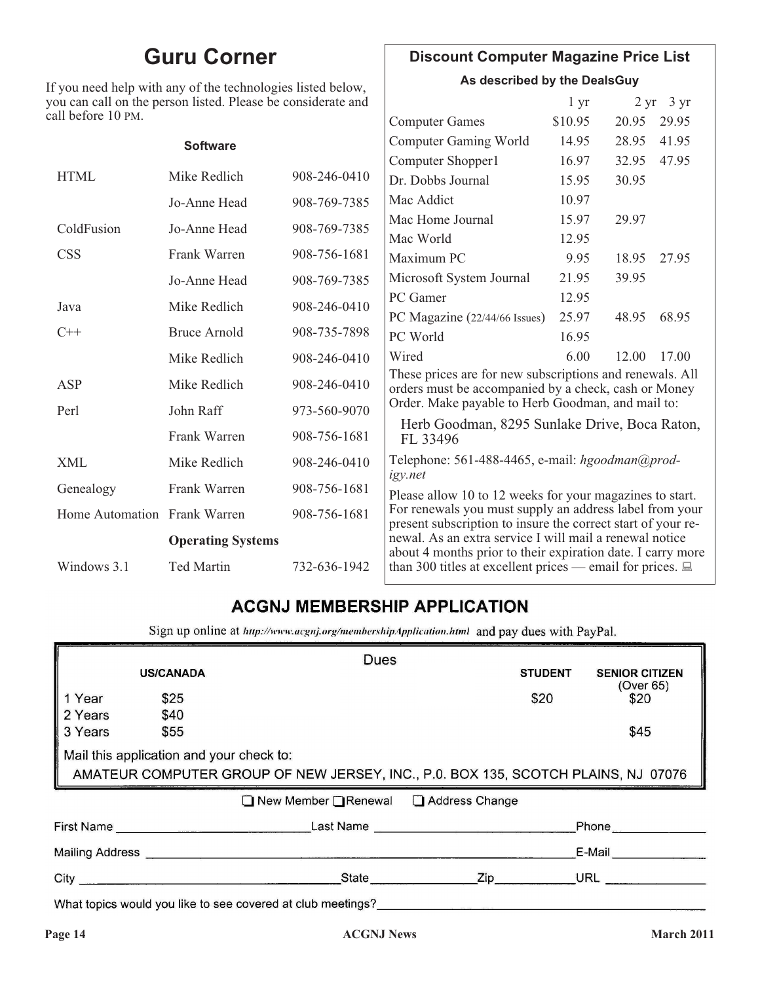### **Guru Corner**

If you need help with any of the technologies listed below, you can call on the person listed. Please be considerate and ca

### **Discount Computer Magazine Price List**

**As described by the DealsGuy**

| ou can call on the person listed. Please be considerate and |                          |              |                                                                                                                               | 1 <sub>yr</sub> |       | $2 \text{ yr}$ 3 yr |  |
|-------------------------------------------------------------|--------------------------|--------------|-------------------------------------------------------------------------------------------------------------------------------|-----------------|-------|---------------------|--|
| ll before 10 PM.                                            |                          |              | <b>Computer Games</b>                                                                                                         | \$10.95         | 20.95 | 29.95               |  |
|                                                             | <b>Software</b>          |              | <b>Computer Gaming World</b>                                                                                                  | 14.95           | 28.95 | 41.95               |  |
|                                                             |                          |              | Computer Shopper1                                                                                                             | 16.97           | 32.95 | 47.95               |  |
| <b>HTML</b>                                                 | Mike Redlich             | 908-246-0410 | Dr. Dobbs Journal                                                                                                             | 15.95           | 30.95 |                     |  |
|                                                             | Jo-Anne Head             | 908-769-7385 | Mac Addict                                                                                                                    | 10.97           |       |                     |  |
| ColdFusion                                                  | Jo-Anne Head             | 908-769-7385 | Mac Home Journal                                                                                                              | 15.97           | 29.97 |                     |  |
|                                                             |                          |              | Mac World                                                                                                                     | 12.95           |       |                     |  |
| <b>CSS</b>                                                  | Frank Warren             | 908-756-1681 | Maximum PC                                                                                                                    | 9.95            | 18.95 | 27.95               |  |
|                                                             | Jo-Anne Head             | 908-769-7385 | Microsoft System Journal                                                                                                      | 21.95           | 39.95 |                     |  |
| Java                                                        | Mike Redlich             | 908-246-0410 | PC Gamer                                                                                                                      | 12.95           |       |                     |  |
|                                                             |                          |              | PC Magazine (22/44/66 Issues)                                                                                                 | 25.97           | 48.95 | 68.95               |  |
| $C++$                                                       | <b>Bruce Arnold</b>      | 908-735-7898 | PC World                                                                                                                      | 16.95           |       |                     |  |
|                                                             | Mike Redlich             | 908-246-0410 | Wired                                                                                                                         | 6.00            | 12.00 | 17.00               |  |
| ASP                                                         | Mike Redlich             | 908-246-0410 | These prices are for new subscriptions and renewals. All<br>orders must be accompanied by a check, cash or Money              |                 |       |                     |  |
| Perl                                                        | John Raff                | 973-560-9070 | Order. Make payable to Herb Goodman, and mail to:                                                                             |                 |       |                     |  |
|                                                             | Frank Warren             | 908-756-1681 | Herb Goodman, 8295 Sunlake Drive, Boca Raton,<br>FL 33496                                                                     |                 |       |                     |  |
| <b>XML</b>                                                  | Mike Redlich             | 908-246-0410 | Telephone: 561-488-4465, e-mail: hgoodman@prod-                                                                               |                 |       |                     |  |
| Genealogy                                                   | Frank Warren             | 908-756-1681 | igy.net<br>Please allow 10 to 12 weeks for your magazines to start.                                                           |                 |       |                     |  |
| Home Automation Frank Warren                                |                          | 908-756-1681 | For renewals you must supply an address label from your<br>present subscription to insure the correct start of your re-       |                 |       |                     |  |
|                                                             | <b>Operating Systems</b> |              | newal. As an extra service I will mail a renewal notice                                                                       |                 |       |                     |  |
| Windows 3.1                                                 | <b>Ted Martin</b>        | 732-636-1942 | about 4 months prior to their expiration date. I carry more<br>than 300 titles at excellent prices — email for prices. $\Box$ |                 |       |                     |  |

#### **ACGNJ MEMBERSHIP APPLICATION**

Sign up online at http://www.acgnj.org/membershipApplication.html and pay dues with PayPal.

|                                |                                          | <b>Dues</b>                                                                       |                                                                                                                                                                                                                                          |                |                                    |
|--------------------------------|------------------------------------------|-----------------------------------------------------------------------------------|------------------------------------------------------------------------------------------------------------------------------------------------------------------------------------------------------------------------------------------|----------------|------------------------------------|
|                                | <b>US/CANADA</b>                         |                                                                                   |                                                                                                                                                                                                                                          | <b>STUDENT</b> | <b>SENIOR CITIZEN</b><br>(Over 65) |
| Year                           | \$25                                     |                                                                                   |                                                                                                                                                                                                                                          | \$20           | \$20                               |
| 2 Years                        | \$40                                     |                                                                                   |                                                                                                                                                                                                                                          |                |                                    |
| 3 Years                        | \$55                                     |                                                                                   |                                                                                                                                                                                                                                          |                | \$45                               |
|                                | Mail this application and your check to: |                                                                                   |                                                                                                                                                                                                                                          |                |                                    |
|                                |                                          | AMATEUR COMPUTER GROUP OF NEW JERSEY, INC., P.0. BOX 135, SCOTCH PLAINS, NJ 07076 |                                                                                                                                                                                                                                          |                |                                    |
|                                |                                          | New Member <b>On Renewal</b> □ Address Change                                     |                                                                                                                                                                                                                                          |                |                                    |
|                                |                                          | <b>First Name Example 2.2 Last Name Last Name</b>                                 |                                                                                                                                                                                                                                          |                | Phone                              |
| Mailing Address <b>Mailway</b> |                                          |                                                                                   |                                                                                                                                                                                                                                          |                | E-Mail                             |
|                                |                                          | <b>State Example</b>                                                              | Zip <sub>p</sub> and the set of the set of the set of the set of the set of the set of the set of the set of the set of the set of the set of the set of the set of the set of the set of the set of the set of the set of the set of th |                | URL                                |
|                                |                                          | What topics would you like to see covered at club meetings?                       |                                                                                                                                                                                                                                          |                |                                    |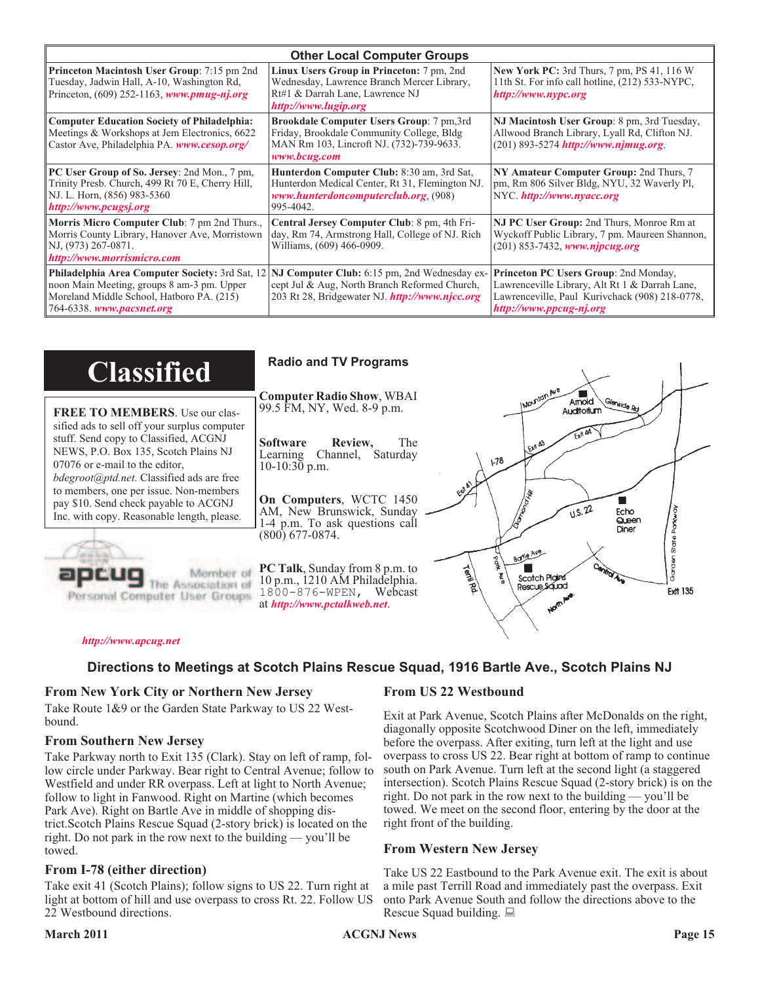| <b>Other Local Computer Groups</b>                                                                                                                                      |                                                                                                                                                           |                                                                                                                                                                      |  |
|-------------------------------------------------------------------------------------------------------------------------------------------------------------------------|-----------------------------------------------------------------------------------------------------------------------------------------------------------|----------------------------------------------------------------------------------------------------------------------------------------------------------------------|--|
| <b>Princeton Macintosh User Group:</b> 7:15 pm 2nd<br>Tuesday, Jadwin Hall, A-10, Washington Rd,<br>Princeton, $(609)$ 252-1163, www.pmug-nj.org                        | Linux Users Group in Princeton: 7 pm, 2nd<br>Wednesday, Lawrence Branch Mercer Library,<br>Rt#1 & Darrah Lane, Lawrence NJ<br>http://www.lugip.org        | New York PC: 3rd Thurs, 7 pm, PS 41, 116 W<br>11th St. For info call hotline, (212) 533-NYPC,<br>http://www.nypc.org                                                 |  |
| <b>Computer Education Society of Philadelphia:</b><br>Meetings & Workshops at Jem Electronics, 6622<br>Castor Ave, Philadelphia PA. www.cesop.org/                      | <b>Brookdale Computer Users Group:</b> 7 pm, 3rd<br>Friday, Brookdale Community College, Bldg<br>MAN Rm 103, Lincroft NJ. (732)-739-9633.<br>www.bcug.com | NJ Macintosh User Group: 8 pm, 3rd Tuesday,<br>Allwood Branch Library, Lyall Rd, Clifton NJ.<br>$(201) 893 - 5274$ http://www.njmug.org.                             |  |
| PC User Group of So. Jersey: 2nd Mon., 7 pm,<br>Trinity Presb. Church, 499 Rt 70 E, Cherry Hill,<br>NJ. L. Horn, (856) 983-5360<br>http://www.pcugsj.org                | Hunterdon Computer Club: 8:30 am, 3rd Sat,<br>Hunterdon Medical Center, Rt 31, Flemington NJ.<br>www.hunterdoncomputerclub.org. (908)<br>995-4042.        | NY Amateur Computer Group: 2nd Thurs, 7<br>pm, Rm 806 Silver Bldg, NYU, 32 Waverly Pl,<br>NYC.http://www.nyacc.org                                                   |  |
| Morris Micro Computer Club: 7 pm 2nd Thurs.,<br>Morris County Library, Hanover Ave, Morristown<br>NJ, (973) 267-0871.<br>http://www.morrismicro.com                     | Central Jersey Computer Club: 8 pm, 4th Fri-<br>day, Rm 74, Armstrong Hall, College of NJ. Rich<br>Williams, (609) 466-0909.                              | <b>NJ PC User Group:</b> 2nd Thurs, Monroe Rm at<br>Wyckoff Public Library, 7 pm. Maureen Shannon,<br>$(201)$ 853-7432, www.njpcug.org                               |  |
| Philadelphia Area Computer Society: 3rd Sat, 12<br>noon Main Meeting, groups 8 am-3 pm. Upper<br>Moreland Middle School, Hatboro PA. (215)<br>764-6338. www.pacsnet.org | NJ Computer Club: 6:15 pm, 2nd Wednesday ex-<br>cept Jul & Aug, North Branch Reformed Church,<br>203 Rt 28, Bridgewater NJ. http://www.njcc.org           | Princeton PC Users Group: 2nd Monday,<br>Lawrenceville Library, Alt Rt 1 & Darrah Lane,<br>Lawrenceville, Paul Kurivchack (908) 218-0778,<br>http://www.ppcug-nj.org |  |

| <b>Classified</b>                                                                                                                                                   | <b>Radio and TV Programs</b>                                                                                                                                                                                                  |
|---------------------------------------------------------------------------------------------------------------------------------------------------------------------|-------------------------------------------------------------------------------------------------------------------------------------------------------------------------------------------------------------------------------|
| <b>FREE TO MEMBERS.</b> Use our clas-<br>sified ads to sell off your surplus computer                                                                               | <b>Computer Radio Show, WBAI</b><br>Amold<br>Glenside Rd<br>99.5 FM, NY, Wed. 8-9 p.m.<br>Auditorium                                                                                                                          |
| stuff. Send copy to Classified, ACGNJ<br>NEWS, P.O. Box 135, Scotch Plains NJ<br>07076 or e-mail to the editor,<br><i>bdegroot@ptd.net.</i> Classified ads are free | <b>Software</b><br>Review,<br><b>The</b><br>LEXA A3<br>Learning Channel, Saturday<br>178<br>$10-10:30$ p.m.                                                                                                                   |
| to members, one per issue. Non-members<br>pay \$10. Send check payable to ACGNJ<br>Inc. with copy. Reasonable length, please.                                       | On Computers, WCTC 1450<br>1.5.22<br>AM, New Brunswick, Sunday<br>Echo<br>Queen<br>1-4 p.m. To ask questions call<br>Diner<br>$(800)$ 677-0874.                                                                               |
| <b>Groups</b>                                                                                                                                                       | Borlo Ave<br>Cantro<br><b>PC Talk, Sunday from 8 p.m. to</b><br><b>Term Rd</b><br>Scotch Plain<br>10 p.m., 1210 AM Philadelphia.<br>Rescue Sound<br><b>Ext1 135</b><br>1800-876-WPEN, Webcast<br>at http://www.pctalkweb.net. |

#### *<http://www.apcug.net>*

#### **Directions to Meetings at Scotch Plains Rescue Squad, 1916 Bartle Ave., Scotch Plains NJ**

#### **From New York City or Northern New Jersey**

Take Route 1&9 or the Garden State Parkway to US 22 Westbound.

#### **From Southern New Jersey**

Take Parkway north to Exit 135 (Clark). Stay on left of ramp, follow circle under Parkway. Bear right to Central Avenue; follow to Westfield and under RR overpass. Left at light to North Avenue; follow to light in Fanwood. Right on Martine (which becomes Park Ave). Right on Bartle Ave in middle of shopping district.Scotch Plains Rescue Squad (2-story brick) is located on the right. Do not park in the row next to the building — you'll be towed.

#### **From I-78 (either direction)**

Take exit 41 (Scotch Plains); follow signs to US 22. Turn right at light at bottom of hill and use overpass to cross Rt. 22. Follow US 22 Westbound directions.

#### **From US 22 Westbound**

Exit at Park Avenue, Scotch Plains after McDonalds on the right, diagonally opposite Scotchwood Diner on the left, immediately before the overpass. After exiting, turn left at the light and use overpass to cross US 22. Bear right at bottom of ramp to continue south on Park Avenue. Turn left at the second light (a staggered intersection). Scotch Plains Rescue Squad (2-story brick) is on the right. Do not park in the row next to the building — you'll be towed. We meet on the second floor, entering by the door at the right front of the building.

 $\begin{matrix} \diagup \quad \diagup \quad \quad \diagdown \quad \quad \quad \end{matrix}$ 

#### **From Western New Jersey**

Take US 22 Eastbound to the Park Avenue exit. The exit is about a mile past Terrill Road and immediately past the overpass. Exit onto Park Avenue South and follow the directions above to the Rescue Squad building.  $\Box$